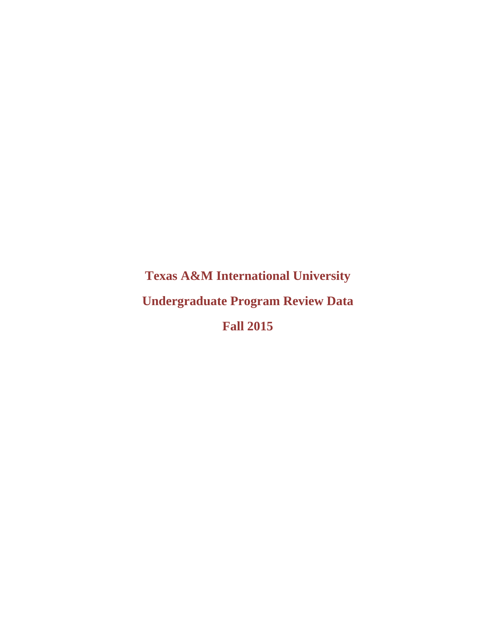**Texas A&M International University Undergraduate Program Review Data Fall 2015**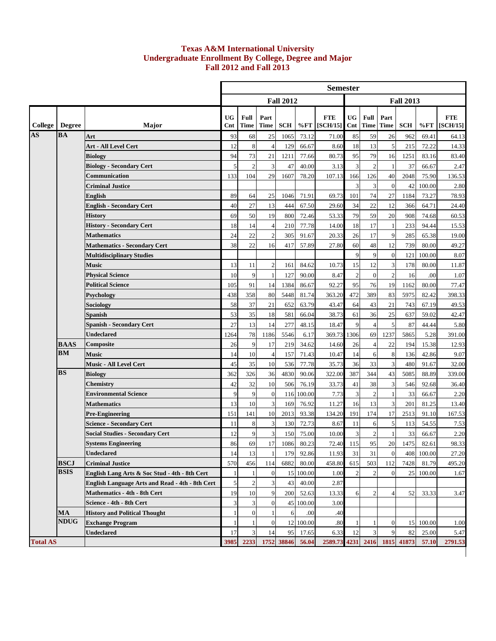## **Undergraduate Enrollment By College, Degree and Major Fall 2012 and Fall 2013 Texas A&M International University**

|                 |                                       |                                                        |                  |                |                  |                  |           | <b>Semester</b>              |                         |                     |                     |                  |           |                        |
|-----------------|---------------------------------------|--------------------------------------------------------|------------------|----------------|------------------|------------------|-----------|------------------------------|-------------------------|---------------------|---------------------|------------------|-----------|------------------------|
|                 |                                       |                                                        |                  |                |                  | <b>Fall 2012</b> |           |                              |                         |                     |                     | <b>Fall 2013</b> |           |                        |
| College         | <b>Degree</b>                         | Major                                                  | <b>UG</b><br>Cnt | Full<br>Time   | Part<br>Time     | <b>SCH</b>       |           | <b>FTE</b><br>$%FT$ [SCH/15] | <b>UG</b><br>Cnt        | Full<br><b>Time</b> | Part<br><b>Time</b> | SCH              | %FT       | <b>FTE</b><br>[SCH/15] |
| AS              | <b>BA</b>                             | Art                                                    | 93               | 68             | 25               | 1065             | 73.12     | 71.00                        | 85                      | 59                  | 26                  | 962              | 69.41     | 64.13                  |
|                 |                                       | Art - All Level Cert                                   | 12               | 8              | $\overline{4}$   | 129              | 66.67     | 8.60                         | 18                      | 13                  | 5                   | 215              | 72.22     | 14.33                  |
|                 |                                       | <b>Biology</b>                                         | 94               | 73             | 21               | 1211             | 77.66     | 80.73                        | 95                      | 79                  | 16                  | 1251             | 83.16     | 83.40                  |
|                 |                                       | <b>Biology - Secondary Cert</b>                        | 5                | $\overline{c}$ | 3                | 47               | 40.00     | 3.13                         | 3                       | $\boldsymbol{2}$    | 1                   | 37               | 66.67     | 2.47                   |
|                 |                                       | Communication                                          | 133              | 104            | 29               | 1607             | 78.20     | 107.13                       | 166                     | 126                 | 40                  | 2048             | 75.90     | 136.53                 |
|                 |                                       | <b>Criminal Justice</b>                                |                  |                |                  |                  |           |                              | 3                       | 3                   | $\overline{0}$      | 42               | 100.00    | 2.80                   |
|                 |                                       | <b>English</b>                                         | 89               | 64             | 25               | 1046             | 71.91     | 69.73                        | 101                     | 74                  | 27                  | 1184             | 73.27     | 78.93                  |
|                 |                                       | <b>English - Secondary Cert</b>                        | 40               | 27             | 13               | 444              | 67.50     | 29.60                        | 34                      | 22                  | 12                  | 366              | 64.71     | 24.40                  |
|                 |                                       | <b>History</b>                                         | 69               | 50             | 19               | 800              | 72.46     | 53.33                        | 79                      | 59                  | 20                  | 908              | 74.68     | 60.53                  |
|                 |                                       | <b>History - Secondary Cert</b>                        | 18               | 14             | $\overline{4}$   | 210              | 77.78     | 14.00                        | 18                      | 17                  |                     | 233              | 94.44     | 15.53                  |
|                 |                                       | <b>Mathematics</b>                                     | 24               | 22             | $\overline{2}$   | 305              | 91.67     | 20.33                        | 26                      | 17                  | 9                   | 285              | 65.38     | 19.00                  |
|                 |                                       | <b>Mathematics - Secondary Cert</b>                    | 38               | 22             | 16               | 417              | 57.89     | 27.80                        | 60                      | 48                  | 12                  | 739              | 80.00     | 49.27                  |
|                 |                                       | <b>Multidisciplinary Studies</b>                       |                  |                |                  |                  |           |                              | 9                       | 9                   | $\boldsymbol{0}$    | 121              | 100.00    | 8.07                   |
|                 |                                       | <b>Music</b>                                           | 13               | 11             | $\overline{2}$   | 161              | 84.62     | 10.73                        | 15                      | 12                  | 3                   | 178              | 80.00     | 11.87                  |
|                 |                                       | <b>Physical Science</b>                                | 10               | 9              | $\mathbf{1}$     | 127              | 90.00     | 8.47                         | $\mathbf{2}$            | $\boldsymbol{0}$    | $\overline{2}$      | 16               | .00       | 1.07                   |
|                 |                                       | <b>Political Science</b>                               | 105              | 91             | 14               | 1384             | 86.67     | 92.27                        | 95                      | 76                  | 19                  | 1162             | 80.00     | 77.47                  |
|                 |                                       | Psychology                                             | 438              | 358            | 80               | 5448             | 81.74     | 363.20                       | 472                     | 389                 | 83                  | 5975             | 82.42     | 398.33                 |
|                 |                                       | Sociology                                              | 58               | 37             | 21               | 652              | 63.79     | 43.47                        | 64                      | 43                  | 21                  | 743              | 67.19     | 49.53                  |
|                 |                                       | Spanish                                                | 53               | 35             | 18               | 581              | 66.04     | 38.73                        | 61                      | 36                  | 25                  | 637              | 59.02     | 42.47                  |
|                 |                                       | <b>Spanish - Secondary Cert</b>                        | 27               | 13             | 14               | 277              | 48.15     | 18.47                        | 9                       | $\overline{4}$      | 5                   | 87               | 44.44     | 5.80                   |
|                 |                                       | <b>Undeclared</b>                                      | 1264             | $78\,$         | 1186             | 5546             | 6.17      | 369.73                       | 1306                    | 69                  | 1237                | 5865             | 5.28      | 391.00                 |
|                 | <b>BAAS</b>                           | Composite                                              | 26               | 9              | 17               | 219              | 34.62     | 14.60                        | 26                      | $\overline{4}$      | 22                  | 194              | 15.38     | 12.93                  |
|                 | BМ                                    | <b>Music</b>                                           | 14               | 10             | $\overline{4}$   | 157              | 71.43     | 10.47                        | 14                      | 6                   | 8                   | 136              | 42.86     | 9.07                   |
|                 |                                       | <b>Music - All Level Cert</b>                          | 45               | 35             | 10               | 536              | 77.78     | 35.73                        | 36                      | 33                  | 3                   | 480              | 91.67     | 32.00                  |
|                 | <b>BS</b>                             | <b>Biology</b>                                         | 362              | 326            | 36               | 4830             | 90.06     | 322.00                       | 387                     | 344                 | 43                  | 5085             | 88.89     | 339.00                 |
|                 |                                       | <b>Chemistry</b>                                       | 42               | 32             | 10               | 506              | 76.19     | 33.73                        | 41                      | 38                  | 3                   | 546              | 92.68     | 36.40                  |
|                 |                                       | <b>Environmental Science</b>                           | 9                | 9              | $\boldsymbol{0}$ | 116              | 100.00    | 7.73                         | $\mathfrak{Z}$          | $\boldsymbol{2}$    | 1                   | 33               | 66.67     | 2.20                   |
|                 |                                       | <b>Mathematics</b>                                     | 13               | 10             | 3                | 169              | 76.92     | 11.27                        | 16                      | 13                  | 3                   | 201              | 81.25     | 13.40                  |
|                 |                                       | <b>Pre-Engineering</b>                                 | 151              | 141            | 10               | 2013             | 93.38     | 134.20                       | 191                     | 174                 | 17                  | 2513             | 91.10     | 167.53                 |
|                 |                                       | <b>Science - Secondary Cert</b>                        | 11               | $\,8\,$        | 3                | 130              | 72.73     | 8.67                         | 11                      | 6                   | 5                   | 113              | 54.55     | 7.53                   |
|                 |                                       | <b>Social Studies - Secondary Cert</b>                 | 12               | 9              | 3                | 150              | 75.00     | 10.00                        | $\mathfrak{Z}$          | $\overline{c}$      | 1                   | 33               | 66.67     | 2.20                   |
|                 |                                       | <b>Systems Engineering</b>                             | 86               | 69             | $17\,$           | 1086             | 80.23     | 72.40                        | 115                     | 95                  | 20                  | 1475             | 82.61     | 98.33                  |
|                 |                                       | <b>Undeclared</b>                                      | 14               | 13             | 1                | 179              | 92.86     | 11.93                        | 31                      | 31                  | $\boldsymbol{0}$    | 408              | 100.00    | 27.20                  |
|                 | <b>BSCJ</b><br><b>BSIS</b>            | <b>Criminal Justice</b>                                | 570              | 456            | 114              | 6882             | 80.00     | 458.80                       | 615                     | 503                 | 112                 | 7428             | 81.79     | 495.20                 |
|                 |                                       | English Lang Arts & Soc Stud - 4th - 8th Cert          | 1                |                | $\bf{0}$         |                  | 15 100.00 | 1.00                         | $\overline{\mathbf{c}}$ | 2                   | $\boldsymbol{0}$    |                  | 25 100.00 | 1.67                   |
|                 |                                       | <b>English Language Arts and Read - 4th - 8th Cert</b> | 5                | $\overline{c}$ | 3                | 43               | 40.00     | 2.87                         |                         |                     |                     |                  |           |                        |
|                 |                                       | <b>Mathematics - 4th - 8th Cert</b>                    | 19               | 10             | 9                | 200              | 52.63     | 13.33                        | 6                       | 2                   | 4                   | 52               | 33.33     | 3.47                   |
|                 |                                       | Science - 4th - 8th Cert                               | 3                | 3              | $\boldsymbol{0}$ |                  | 45 100.00 | 3.00                         |                         |                     |                     |                  |           |                        |
|                 | $\mathbf{M}\mathbf{A}$<br><b>NDUG</b> | <b>History and Political Thought</b>                   | 1                | $\mathbf{0}$   |                  | 6                | .00       | .40                          |                         |                     |                     |                  |           |                        |
|                 |                                       | <b>Exchange Program</b>                                |                  |                | $\boldsymbol{0}$ |                  | 12 100.00 | .80                          | 1                       |                     | 0                   | 15 <sup>1</sup>  | 100.00    | 1.00                   |
|                 |                                       | <b>Undeclared</b>                                      | 17               | 3              | 14               | 95               | 17.65     | 6.33                         | 12                      | 3                   | 9                   | 82               | 25.00     | 5.47                   |
| <b>Total AS</b> |                                       |                                                        | 3985             | 2233           |                  | 1752 38846       | 56.04     | 2589.73                      | 4231                    | 2416                | 1815                | 41873            | 57.10     | 2791.53                |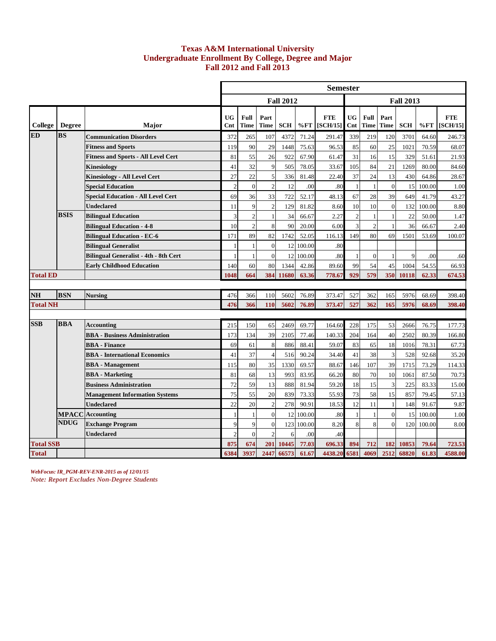## **Undergraduate Enrollment By College, Degree and Major Fall 2012 and Fall 2013 Texas A&M International University**

|                                  |               |                                              |                  |                |                     |                  |                | <b>Semester</b>        |                  |                |                             |                  |                |                        |
|----------------------------------|---------------|----------------------------------------------|------------------|----------------|---------------------|------------------|----------------|------------------------|------------------|----------------|-----------------------------|------------------|----------------|------------------------|
|                                  |               |                                              |                  |                |                     | <b>Fall 2012</b> |                |                        |                  |                |                             | <b>Fall 2013</b> |                |                        |
| College                          | <b>Degree</b> | Major                                        | <b>UG</b><br>Cnt | Full<br>Time   | Part<br><b>Time</b> | <b>SCH</b>       | %FT            | <b>FTE</b><br>[SCH/15] | <b>UG</b><br>Cnt | Full<br>Time   | Part<br>Time                | <b>SCH</b>       | %FT            | <b>FTE</b><br>[SCH/15] |
| <b>ED</b>                        | <b>BS</b>     | <b>Communication Disorders</b>               | 372              | 265            | 107                 | 4372             | 71.24          | 291.47                 | 339              | 219            | 120                         | 3701             | 64.60          | 246.73                 |
|                                  |               | <b>Fitness and Sports</b>                    | 119              | 90             | 29                  | 1448             | 75.63          | 96.53                  | 85               | 60             | 25                          | 1021             | 70.59          | 68.07                  |
|                                  |               | <b>Fitness and Sports - All Level Cert</b>   | 81               | 55             | 26                  | 922              | 67.90          | 61.47                  | 31               | 16             | 15                          | 329              | 51.61          | 21.93                  |
|                                  |               | Kinesiology                                  | 41               | 32             | 9                   | 505              | 78.05          | 33.67                  | 105              | 84             | 21                          | 1269             | 80.00          | 84.60                  |
|                                  |               | <b>Kinesiology - All Level Cert</b>          | 27               | 22             | 5                   | 336              | 81.48          | 22.40                  | 37               | 24             | 13                          | 430              | 64.86          | 28.67                  |
|                                  |               | <b>Special Education</b>                     | $\overline{2}$   | $\overline{0}$ | $\overline{2}$      | 12               | .00            | .80                    | $\mathbf{1}$     | $\mathbf{1}$   | $\mathbf{0}$                | 15               | 100.00         | 1.00                   |
|                                  |               | <b>Special Education - All Level Cert</b>    | 69               | 36             | 33                  | 722              | 52.17          | 48.13                  | 67               | 28             | 39                          | 649              | 41.79          | 43.27                  |
|                                  |               | <b>Undeclared</b>                            | 11               | 9              | $\overline{2}$      | 129              | 81.82          | 8.60                   | 10               | 10             | $\boldsymbol{0}$            | 132              | 100.00         | 8.80                   |
|                                  | <b>BSIS</b>   | <b>Bilingual Education</b>                   | 3                | $\overline{c}$ |                     | 34               | 66.67          | 2.27                   | $\overline{c}$   | 1              | $\mathbf{1}$                | 22               | 50.00          | 1.47                   |
|                                  |               | <b>Bilingual Education - 4-8</b>             | 10               | $\overline{2}$ | 8                   | 90               | 20.00          | 6.00                   | 3                | $\overline{2}$ | 1                           | 36               | 66.67          | 2.40                   |
|                                  |               | <b>Bilingual Education - EC-6</b>            | 171              | 89             | 82                  | 1742             | 52.05          | 116.13                 | 149              | 80             | 69                          | 1501             | 53.69          | 100.07                 |
|                                  |               | <b>Bilingual Generalist</b>                  | 1                | $\mathbf{1}$   | $\overline{0}$      | 12               | 100.00         | .80                    |                  |                |                             |                  |                |                        |
|                                  |               | <b>Bilingual Generalist - 4th - 8th Cert</b> |                  | $\mathbf{1}$   | $\theta$            | 12               | 100.00         | .80                    |                  | $\overline{0}$ | $\mathbf{1}$                | 9                | .00            | .60                    |
|                                  |               | <b>Early Childhood Education</b>             | 140              | 60             | 80                  | 1344             | 42.86          | 89.60                  | 99               | 54             | 45                          | 1004             | 54.55          | 66.93                  |
| <b>Total ED</b>                  |               |                                              | 1048             | 664            | 384                 | 11680            | 63.36          | 778.67                 | 929              | 579            | 350                         | 10118            | 62.33          | 674.53                 |
|                                  |               |                                              |                  |                |                     |                  |                |                        |                  |                |                             |                  |                |                        |
| NH                               | <b>BSN</b>    | <b>Nursing</b>                               | 476              | 366            | 110                 | 5602             | 76.89          | 373.47                 | 527              | 362            | 165                         | 5976             | 68.69          | 398.40                 |
| <b>Total NH</b>                  |               |                                              | 476              | 366            | 110                 | 5602             | 76.89          | 373.47                 | 527              | 362            | 165                         | 5976             | 68.69          | 398.40                 |
| <b>SSB</b>                       | <b>BBA</b>    |                                              |                  |                |                     |                  |                |                        |                  |                |                             |                  |                |                        |
|                                  |               | <b>Accounting</b>                            | 215              | 150            | 65                  | 2469             | 69.77          | 164.60                 | 228              | 175            | 53                          | 2666             | 76.75          | 177.73                 |
|                                  |               | <b>BBA</b> - Business Administration         | 173              | 134            | 39                  | 2105             | 77.46          | 140.33                 | 204              | 164            | 40                          | 2502             | 80.39          | 166.80                 |
|                                  |               | <b>BBA</b> - Finance                         | 69               | 61             | 8                   | 886              | 88.41          | 59.07                  | 83               | 65             | 18                          | 1016             | 78.31          | 67.73                  |
|                                  |               | <b>BBA</b> - International Economics         | 41               | 37             | $\overline{4}$      | 516              | 90.24          | 34.40                  | 41               | 38             | 3                           | 528              | 92.68          | 35.20                  |
|                                  |               | <b>BBA</b> - Management                      | 115              | 80             | 35                  | 1330             | 69.57          | 88.67                  | 146              | 107            | 39                          | 1715             | 73.29          | 114.33                 |
|                                  |               | <b>BBA</b> - Marketing                       | 81               | 68             | 13                  | 993              | 83.95          | 66.20                  | 80               | 70             | 10                          | 1061             | 87.50          | 70.73                  |
|                                  |               | <b>Business Administration</b>               | 72               | 59             | 13                  | 888              | 81.94          | 59.20                  | 18               | 15             | $\ensuremath{\mathfrak{Z}}$ | 225              | 83.33          | 15.00                  |
|                                  |               | <b>Management Information Systems</b>        | 75               | 55             | 20                  | 839              | 73.33          | 55.93                  | 73               | 58             | 15                          | 857              | 79.45          | 57.13                  |
|                                  |               | <b>Undeclared</b>                            | 22               | 20             | $\overline{2}$      | 278              | 90.91          | 18.53                  | 12               | 11             | $\mathbf{1}$                | 148              | 91.67          | 9.87                   |
|                                  | <b>NDUG</b>   | <b>MPACC</b> Accounting                      | 1                | 1              | $\Omega$            | 12               | 100.00         | .80                    | 1                | 1              | $\overline{0}$              | 15               | 100.00         | 1.00                   |
|                                  |               | <b>Exchange Program</b>                      | 9                | 9              | $\mathbf{0}$        | 123              | 100.00         | 8.20                   | $\,8\,$          | 8              | $\mathbf{0}$                | 120              | 100.00         | 8.00                   |
|                                  |               | <b>Undeclared</b>                            | $\overline{2}$   | $\theta$       | $\mathcal{D}$       | 6                | .00            | .40                    |                  |                |                             |                  |                |                        |
| <b>Total SSB</b><br><b>Total</b> |               |                                              | 875<br>6384      | 674<br>3937    | 201<br>2447         | 10445<br>66573   | 77.03<br>61.67 | 696.33<br>4438.20      | 894<br>6581      | 712<br>4069    | 182<br>2512                 | 10853<br>68820   | 79.64<br>61.83 | 723.53<br>4588.00      |
|                                  |               |                                              |                  |                |                     |                  |                |                        |                  |                |                             |                  |                |                        |

*WebFocus: IR\_PGM-REV-ENR-2015 as of 12/01/15 Note: Report Excludes Non-Degree Students*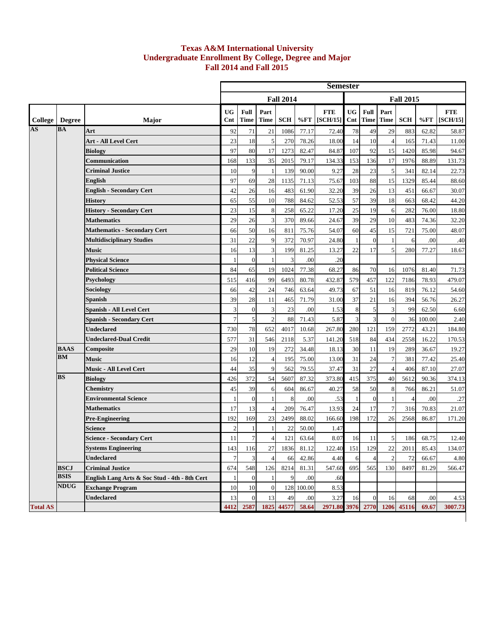## **Texas A&M International University Undergraduate Enrollment By College, Degree and Major Fall 2014 and Fall 2015**

|                 |               |                                               |                |                  |                     |                  |            | <b>Semester</b>        |                  |                     |                     |                  |        |                        |
|-----------------|---------------|-----------------------------------------------|----------------|------------------|---------------------|------------------|------------|------------------------|------------------|---------------------|---------------------|------------------|--------|------------------------|
|                 |               |                                               |                |                  |                     | <b>Fall 2014</b> |            |                        |                  |                     |                     | <b>Fall 2015</b> |        |                        |
| College         | <b>Degree</b> | Major                                         | UG<br>Cnt      | Full<br>Time     | Part<br><b>Time</b> | <b>SCH</b>       | %FT        | <b>FTE</b><br>[SCH/15] | <b>UG</b><br>Cnt | Full<br><b>Time</b> | Part<br><b>Time</b> | <b>SCH</b>       | %FT    | <b>FTE</b><br>[SCH/15] |
| <b>AS</b>       | <b>BA</b>     | Art                                           | 92             | 71               | 21                  | 1086             | 77.17      | 72.40                  | 78               | 49                  | 29                  | 883              | 62.82  | 58.87                  |
|                 |               | Art - All Level Cert                          | 23             | 18               | 5                   | 270              | 78.26      | 18.00                  | 14               | 10                  | $\overline{4}$      | 165              | 71.43  | 11.00                  |
|                 |               | <b>Biology</b>                                | 97             | 80               | 17                  | 1273             | 82.47      | 84.87                  | 107              | 92                  | 15                  | 1420             | 85.98  | 94.67                  |
|                 |               | Communication                                 | 168            | 133              | 35                  | 2015             | 79.17      | 134.33                 | 153              | 136                 | 17                  | 1976             | 88.89  | 131.73                 |
|                 |               | <b>Criminal Justice</b>                       | 10             | 9                | $\mathbf{1}$        | 139              | 90.00      | 9.27                   | 28               | $23\,$              | 5                   | 341              | 82.14  | 22.73                  |
|                 |               | <b>English</b>                                | 97             | 69               | 28                  | 1135             | 71.13      | 75.67                  | 103              | $88\,$              | 15                  | 1329             | 85.44  | 88.60                  |
|                 |               | <b>English - Secondary Cert</b>               | 42             | 26               | 16                  | 483              | 61.90      | 32.20                  | 39               | 26                  | 13                  | 451              | 66.67  | 30.07                  |
|                 |               | <b>History</b>                                | 65             | 55               | 10                  | 788              | 84.62      | 52.53                  | 57               | 39                  | 18                  | 663              | 68.42  | 44.20                  |
|                 |               | <b>History - Secondary Cert</b>               | 23             | 15               | 8                   | 258              | 65.22      | 17.20                  | 25               | 19                  | 6                   | 282              | 76.00  | 18.80                  |
|                 |               | <b>Mathematics</b>                            | 29             | 26               | 3                   | 370              | 89.66      | 24.67                  | 39               | 29                  | 10                  | 483              | 74.36  | 32.20                  |
|                 |               | <b>Mathematics - Secondary Cert</b>           | 66             | 50               | 16                  | 811              | 75.76      | 54.07                  | 60               | 45                  | 15                  | 721              | 75.00  | 48.07                  |
|                 |               | <b>Multidisciplinary Studies</b>              | 31             | 22               | 9                   | 372              | 70.97      | 24.80                  |                  | $\mathbf{0}$        | $\mathbf{1}$        | 6                | .00    | .40                    |
|                 |               | <b>Music</b>                                  | 16             | 13               | 3                   | 199              | 81.25      | 13.27                  | 22               | 17                  | 5                   | 280              | 77.27  | 18.67                  |
|                 |               | <b>Physical Science</b>                       | $\mathbf{1}$   | $\mathbf{0}$     | $\mathbf{1}$        | 3                | .00        | .20                    |                  |                     |                     |                  |        |                        |
|                 |               | <b>Political Science</b>                      | 84             | 65               | 19                  | 1024             | 77.38      | 68.27                  | 86               | 70                  | 16                  | 1076             | 81.40  | 71.73                  |
|                 |               | <b>Psychology</b>                             | 515            | 416              | 99                  | 6493             | 80.78      | 432.87                 | 579              | 457                 | 122                 | 7186             | 78.93  | 479.07                 |
|                 |               | Sociology                                     | 66             | 42               | 24                  | 746              | 63.64      | 49.73                  | 67               | 51                  | 16                  | 819              | 76.12  | 54.60                  |
|                 |               | <b>Spanish</b>                                | 39             | 28               | 11                  | 465              | 71.79      | 31.00                  | 37               | 21                  | 16                  | 394              | 56.76  | 26.27                  |
|                 |               | <b>Spanish - All Level Cert</b>               | 3              | $\mathbf{0}$     | 3                   | 23               | .00        | 1.53                   | 8                | 5                   | 3                   | 99               | 62.50  | 6.60                   |
|                 |               | <b>Spanish - Secondary Cert</b>               | $\overline{7}$ | 5                | $\overline{2}$      | 88               | 71.43      | 5.87                   | 3                | 3                   | $\overline{0}$      | 36               | 100.00 | 2.40                   |
|                 |               | <b>Undeclared</b>                             | 730            | 78               | 652                 | 4017             | 10.68      | 267.80                 | 280              | 121                 | 159                 | 2772             | 43.21  | 184.80                 |
|                 |               | <b>Undeclared-Dual Credit</b>                 | 577            | 31               | 546                 | 2118             | 5.37       | 141.20                 | 518              | 84                  | 434                 | 2558             | 16.22  | 170.53                 |
|                 | <b>BAAS</b>   | Composite                                     | 29             | 10               | 19                  | 272              | 34.48      | 18.13                  | 30               | 11                  | 19                  | 289              | 36.67  | 19.27                  |
|                 | <b>BM</b>     | <b>Music</b>                                  | 16             | 12               | $\overline{4}$      | 195              | 75.00      | 13.00                  | 31               | 24                  | $\boldsymbol{7}$    | 381              | 77.42  | 25.40                  |
|                 |               | Music - All Level Cert                        | 44             | 35               | 9                   | 562              | 79.55      | 37.47                  | 31               | 27                  | $\overline{4}$      | 406              | 87.10  | 27.07                  |
|                 | <b>BS</b>     | <b>Biology</b>                                | 426            | 372              | 54                  | 5607             | 87.32      | 373.80                 | 415              | 375                 | 40                  | 5612             | 90.36  | 374.13                 |
|                 |               | <b>Chemistry</b>                              | 45             | 39               | 6                   | 604              | 86.67      | 40.27                  | 58               | 50                  | 8                   | 766              | 86.21  | 51.07                  |
|                 |               | <b>Environmental Science</b>                  | $\mathbf{1}$   | $\boldsymbol{0}$ | $\mathbf{1}$        | 8                | .00        | .53                    |                  | $\mathbf{0}$        | $\mathbf{1}$        | $\overline{4}$   | .00    | .27                    |
|                 |               | <b>Mathematics</b>                            | 17             | 13               | $\overline{4}$      | 209              | 76.47      | 13.93                  | 24               | 17                  | $\overline{7}$      | 316              | 70.83  | 21.07                  |
|                 |               | <b>Pre-Engineering</b>                        | 192            | 169              | 23                  | 2499             | 88.02      | 166.60                 | 198              | 172                 | 26                  | 2568             | 86.87  | 171.20                 |
|                 |               | <b>Science</b>                                | $\overline{2}$ |                  |                     | 22               | 50.00      | 1.47                   |                  |                     |                     |                  |        |                        |
|                 |               | <b>Science - Secondary Cert</b>               | 11             | $\boldsymbol{7}$ | $\overline{4}$      | 121              | 63.64      | 8.07                   | 16               | 11                  | 5                   | 186              | 68.75  | 12.40                  |
|                 |               | <b>Systems Engineering</b>                    | 143            | 116              | 27                  | 1836             | 81.12      | 122.40                 | 151              | 129                 | 22                  | 2011             | 85.43  | 134.07                 |
|                 |               | <b>Undeclared</b>                             | $\overline{7}$ | $\overline{3}$   | $\overline{4}$      | 66               | 42.86      | 4.40                   | 6                |                     |                     | 72               | 66.67  | 4.80                   |
|                 | <b>BSCJ</b>   | <b>Criminal Justice</b>                       | 674            | 548              | 126                 | 8214             | 81.31      | 547.60                 | 695              | 565                 | 130                 | 8497             | 81.29  | 566.47                 |
|                 | <b>BSIS</b>   | English Lang Arts & Soc Stud - 4th - 8th Cert | $\mathbf{1}$   | $\mathbf{0}$     |                     | 9                | .00        | .60                    |                  |                     |                     |                  |        |                        |
|                 | <b>NDUG</b>   | <b>Exchange Program</b>                       | 10             | 10               | $\boldsymbol{0}$    |                  | 128 100.00 | 8.53                   |                  |                     |                     |                  |        |                        |
|                 |               | <b>Undeclared</b>                             | 13             | $\mathbf{0}$     | 13                  | 49               | .00        | 3.27                   | 16               | $\overline{0}$      | 16                  | 68               | .00    | 4.53                   |
| <b>Total AS</b> |               |                                               | 4412           | 2587             |                     | 1825 44577       | 58.64      | 2971.80                | 3976             | 2770                |                     | 1206 45116       | 69.67  | 3007.73                |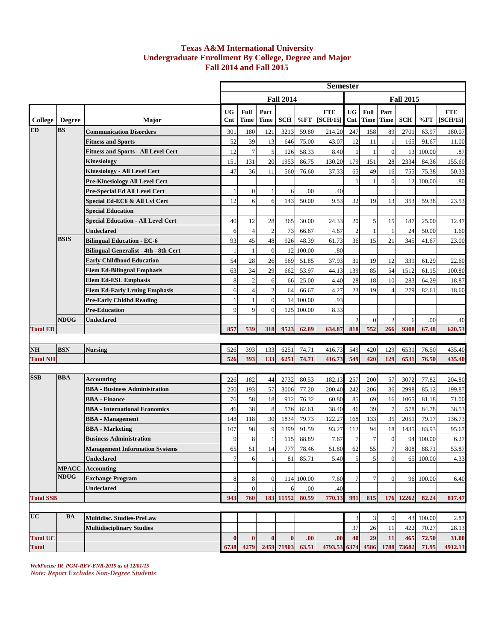## **Texas A&M International University Undergraduate Enrollment By College, Degree and Major Fall 2014 and Fall 2015**

|                  |               |                                              |                  |                |                     |                  |            | <b>Semester</b>        |                  |                     |                     |                  |        |                        |
|------------------|---------------|----------------------------------------------|------------------|----------------|---------------------|------------------|------------|------------------------|------------------|---------------------|---------------------|------------------|--------|------------------------|
|                  |               |                                              |                  |                |                     | <b>Fall 2014</b> |            |                        |                  |                     |                     | <b>Fall 2015</b> |        |                        |
| College          | <b>Degree</b> | Major                                        | <b>UG</b><br>Cnt | Full<br>Time   | Part<br><b>Time</b> | <b>SCH</b>       | %FT        | <b>FTE</b><br>[SCH/15] | <b>UG</b><br>Cnt | Full<br><b>Time</b> | Part<br><b>Time</b> | <b>SCH</b>       | %FT    | <b>FTE</b><br>[SCH/15] |
| <b>ED</b>        | <b>BS</b>     | <b>Communication Disorders</b>               | 301              | 180            | 121                 | 3213             | 59.80      | 214.20                 | 247              | 158                 | 89                  | 2701             | 63.97  | 180.07                 |
|                  |               | <b>Fitness and Sports</b>                    | 52               | 39             | 13                  | 646              | 75.00      | 43.07                  | 12               | 11                  | 1                   | 165              | 91.67  | 11.00                  |
|                  |               | <b>Fitness and Sports - All Level Cert</b>   | 12               | $\overline{7}$ | 5                   | 126              | 58.33      | 8.40                   |                  |                     | $\boldsymbol{0}$    | 13               | 100.00 | .87                    |
|                  |               | <b>Kinesiology</b>                           | 151              | 131            | 20                  | 1953             | 86.75      | 130.20                 | 179              | 151                 | 28                  | 2334             | 84.36  | 155.60                 |
|                  |               | <b>Kinesiology - All Level Cert</b>          | 47               | 36             | 11                  | 560              | 76.60      | 37.33                  | 65               | 49                  | 16                  | 755              | 75.38  | 50.33                  |
|                  |               | <b>Pre-Kinesiology All Level Cert</b>        |                  |                |                     |                  |            |                        |                  |                     | $\mathbf{0}$        | 12               | 100.00 | .80                    |
|                  |               | Pre-Special Ed All Level Cert                | 1                | $\mathbf{0}$   | -1                  | 6                | .00        | .40                    |                  |                     |                     |                  |        |                        |
|                  |               | Special Ed-EC6 & All Lvl Cert                | 12               | 6              | 6                   | 143              | 50.00      | 9.53                   | 32               | 19                  | 13                  | 353              | 59.38  | 23.53                  |
|                  |               | <b>Special Education</b>                     |                  |                |                     |                  |            |                        |                  |                     |                     |                  |        |                        |
|                  |               | <b>Special Education - All Level Cert</b>    | 40               | 12             | 28                  | 365              | 30.00      | 24.33                  | 20               | 5                   | 15                  | 187              | 25.00  | 12.47                  |
|                  |               | <b>Undeclared</b>                            | 6                | $\overline{4}$ | $\overline{2}$      | 73               | 66.67      | 4.87                   | $\overline{2}$   |                     | -1                  | 24               | 50.00  | 1.60                   |
|                  | <b>BSIS</b>   | <b>Bilingual Education - EC-6</b>            | 93               | 45             | 48                  | 926              | 48.39      | 61.73                  | 36               | 15                  | 21                  | 345              | 41.67  | 23.00                  |
|                  |               | <b>Bilingual Generalist - 4th - 8th Cert</b> | $\mathbf{1}$     | $\mathbf{1}$   | $\boldsymbol{0}$    | 12               | 100.00     | .80                    |                  |                     |                     |                  |        |                        |
|                  |               | <b>Early Childhood Education</b>             | 54               | 28             | 26                  | 569              | 51.85      | 37.93                  | 31               | 19                  | 12                  | 339              | 61.29  | 22.60                  |
|                  |               | <b>Elem Ed-Bilingual Emphasis</b>            | 63               | 34             | 29                  | 662              | 53.97      | 44.13                  | 139              | 85                  | 54                  | 1512             | 61.15  | 100.80                 |
|                  |               | <b>Elem Ed-ESL Emphasis</b>                  | 8                | $\mathbf{2}$   | 6                   | 66               | 25.00      | 4.40                   | 28               | 18                  | 10                  | 283              | 64.29  | 18.87                  |
|                  |               | <b>Elem Ed-Early Lrning Emphasis</b>         | 6                | $\overline{4}$ | $\overline{2}$      | 64               | 66.67      | 4.27                   | 23               | 19                  | $\overline{4}$      | 279              | 82.61  | 18.60                  |
|                  |               | <b>Pre-Early Chldhd Reading</b>              | $\mathbf{1}$     | $\mathbf{1}$   | $\overline{0}$      | 14               | 100.00     | .93                    |                  |                     |                     |                  |        |                        |
|                  |               | <b>Pre-Education</b>                         | $\overline{9}$   | 9              | $\overline{0}$      | 125              | 100.00     | 8.33                   |                  |                     |                     |                  |        |                        |
|                  | <b>NDUG</b>   | <b>Undeclared</b>                            |                  |                |                     |                  |            |                        |                  | $\mathbf{0}$        | $\overline{2}$      | 6                | .00    | .40                    |
| <b>Total ED</b>  |               |                                              | 857              | 539            | 318                 | 9523             | 62.89      | 634.87                 | 818              | 552                 | 266                 | 9308             | 67.48  | 620.53                 |
| <b>NH</b>        | <b>BSN</b>    | <b>Nursing</b>                               | 526              | 393            | 133                 | 6251             | 74.71      | 416.73                 | 549              | 420                 | 129                 | 6531             | 76.50  | 435.40                 |
| <b>Total NH</b>  |               |                                              | 526              | 393            | 133                 | 6251             | 74.71      | 416.73                 | 549              | 420                 | 129                 | 6531             | 76.50  | 435.40                 |
|                  |               |                                              |                  |                |                     |                  |            |                        |                  |                     |                     |                  |        |                        |
| <b>SSB</b>       | <b>BBA</b>    | Accounting                                   | 226              | 182            | 44                  | 2732             | 80.53      | 182.13                 | 257              | 200                 | 57                  | 3072             | 77.82  | 204.80                 |
|                  |               | <b>BBA</b> - Business Administration         | 250              | 193            | 57                  | 3006             | 77.20      | 200.40                 | 242              | 206                 | 36                  | 2998             | 85.12  | 199.87                 |
|                  |               | <b>BBA</b> - Finance                         | 76               | 58             | 18                  | 912              | 76.32      | 60.80                  | 85               | 69                  | 16                  | 1065             | 81.18  | 71.00                  |
|                  |               | <b>BBA</b> - International Economics         | 46               | 38             | 8                   | 576              | 82.61      | 38.40                  | 46               | 39                  | $\overline{7}$      | 578              | 84.78  | 38.53                  |
|                  |               | <b>BBA</b> - Management                      | 148              | 118            | 30                  | 1834             | 79.73      | 122.27                 | 168              | 133                 | 35                  | 2051             | 79.17  | 136.73                 |
|                  |               | <b>BBA</b> - Marketing                       | 107              | 98             | 9                   | 1399             | 91.59      | 93.27                  | 112              | 94                  | 18                  | 1435             | 83.93  | 95.67                  |
|                  |               | <b>Business Administration</b>               | 9                | 8              | $\mathbf{1}$        | 115              | 88.89      | 7.67                   | $\overline{7}$   | $\tau$              | $\boldsymbol{0}$    | 94               | 100.00 | 6.27                   |
|                  |               | <b>Management Information Systems</b>        | 65               | 51             | 14                  | 777              | 78.46      | 51.80                  | 62               | 55                  | $\boldsymbol{7}$    | 808              | 88.71  | 53.87                  |
|                  |               | <b>Undeclared</b>                            | $\overline{7}$   | 6              |                     | 81               | 85.71      | 5.40                   | 5                | 5                   | $\overline{0}$      | 65               | 100.00 | 4.33                   |
|                  | <b>MPACC</b>  | <b>Accounting</b>                            |                  |                |                     |                  |            |                        |                  |                     |                     |                  |        |                        |
|                  | <b>NDUG</b>   | <b>Exchange Program</b>                      | 8                | 8              | $\mathbf{0}$        |                  | 114 100.00 | 7.60                   | 7                | 7                   | $\boldsymbol{0}$    | 96               | 100.00 | 6.40                   |
|                  |               | <b>Undeclared</b>                            |                  | $\mathbf{0}$   |                     | 6                | .00        | .40                    |                  |                     |                     |                  |        |                        |
| <b>Total SSB</b> |               |                                              | 943              | 760            | 183                 | 11552            | 80.59      | 770.13                 | 991              | 815                 | 176                 | 12262            | 82.24  | 817.47                 |
|                  |               |                                              |                  |                |                     |                  |            |                        |                  |                     |                     |                  |        |                        |
| <b>UC</b>        | <b>BA</b>     | <b>Multidisc. Studies-PreLaw</b>             |                  |                |                     |                  |            |                        | 3                | 3                   | $\boldsymbol{0}$    | 43               | 100.00 | 2.87                   |
|                  |               | <b>Multidisciplinary Studies</b>             |                  |                |                     |                  |            |                        | 37               | 26                  | 11                  | 422              | 70.27  | 28.13                  |
| <b>Total UC</b>  |               |                                              | $\bf{0}$         | $\bf{0}$       | $\bf{0}$            | $\bf{0}$         | .00        | .00                    | 40               | 29                  | 11                  | 465              | 72.50  | 31.00                  |
| <b>Total</b>     |               |                                              | 6738             | 4279           |                     | 2459 71903       | 63.51      | 4793.53                | 6374             | 4586                | 1788                | 73682            | 71.95  | 4912.13                |

*WebFocus: IR\_PGM-REV-ENR-2015 as of 12/01/15 Note: Report Excludes Non-Degree Students*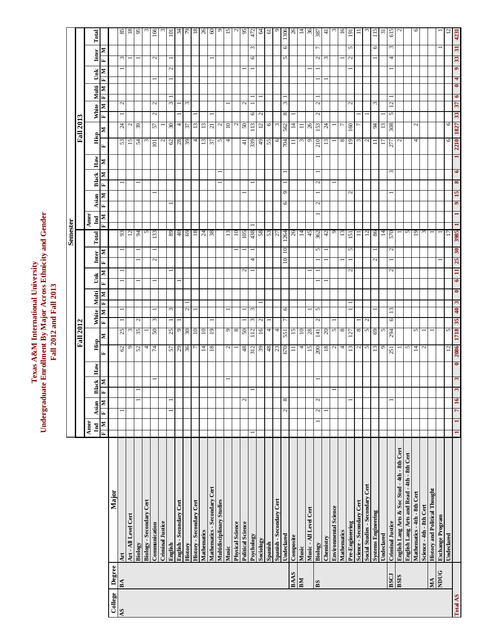|          |             |                                               |                                     |                |                               |                              |                                                                  |                  |                            |                             |              |                | Semester                        |                              |                   |              |              |                  |                  |               |                              |                                |              |                      |                                 |
|----------|-------------|-----------------------------------------------|-------------------------------------|----------------|-------------------------------|------------------------------|------------------------------------------------------------------|------------------|----------------------------|-----------------------------|--------------|----------------|---------------------------------|------------------------------|-------------------|--------------|--------------|------------------|------------------|---------------|------------------------------|--------------------------------|--------------|----------------------|---------------------------------|
|          |             |                                               |                                     |                |                               |                              |                                                                  | <b>Fall 2012</b> |                            |                             |              |                |                                 |                              |                   |              |              |                  | <b>Fall 2013</b> |               |                              |                                |              |                      |                                 |
|          |             |                                               | Amer<br>$\mathop{\rm Ind}\nolimits$ | Asian          |                               | $_{\rm Haw}$<br><b>Black</b> | Hisp                                                             |                  | White                      | Multi                       | Ŭnk          | Inter          | Total                           | Amer<br>$\mathbf{Ind}$       | Asian             | <b>Black</b> | $_{\rm Haw}$ |                  | Hisp             | White         | Multi                        |                                | Unk          | Inter                | Total                           |
|          |             |                                               | $\mathbf{N}$   $\mathbf{H}$         | E              | м                             | N                            | $\mathbf{r}$                                                     | $\blacksquare$   | N<br>E                     | N<br>H                      | N<br>E       | N<br>E         |                                 | ×<br>$\overline{\mathbf{r}}$ | N<br>$\mathbf{r}$ | E            | N<br>N       | $\mathbf{r}$     | N                | $\mathbf{r}$  | $\mathbf{H}$<br>$\mathbb{N}$ | $\mathbf{H}$<br>$\blacksquare$ | r,<br>N      | N                    |                                 |
| College  | Degree      | Major                                         |                                     |                |                               |                              |                                                                  |                  |                            |                             |              |                |                                 |                              |                   |              |              |                  |                  |               |                              |                                |              |                      |                                 |
| AS       | BA          | Art                                           |                                     |                |                               |                              | 62                                                               | 25               |                            |                             |              |                | 93                              |                              |                   |              |              | 53               | 24               |               | $\mathcal{L}_{\mathcal{A}}$  |                                |              | $\omega$             | 85                              |
|          |             | Art - All Level Cert                          |                                     |                |                               |                              | $\circ$                                                          | $\omega$         |                            |                             |              |                | 12                              |                              |                   |              |              | 15               | $\mathfrak{a}$   |               |                              |                                |              |                      | $\frac{8}{18}$                  |
|          |             | Biology                                       |                                     |                | $\overline{\phantom{0}}$<br>− |                              | 52                                                               | 35               | $\mathbf{c}$               |                             |              |                | 94                              |                              |                   |              |              | $\mathcal{L}$    | 39               |               |                              |                                |              |                      | 65                              |
|          |             | <b>Biology - Secondary Cert</b>               |                                     |                |                               |                              | 4                                                                |                  |                            |                             |              |                | n                               |                              |                   |              |              | E                |                  |               |                              |                                |              |                      |                                 |
|          |             | Communication                                 |                                     |                |                               |                              | 74                                                               | 50               | $\omega$                   |                             |              | $\mathcal{L}$  | 133<br>$\overline{\phantom{0}}$ |                              |                   |              |              | $\Xi$            | 57               | $\mathcal{L}$ | $\mathcal{L}$                |                                |              | $\mathcal{L}$        | 166                             |
|          |             | <b>Criminal Justice</b>                       |                                     |                |                               |                              |                                                                  |                  |                            |                             |              |                |                                 |                              |                   |              |              | $\sim$           |                  |               |                              |                                |              |                      |                                 |
|          |             | English                                       |                                     |                | -                             |                              |                                                                  | 25               | $\epsilon$                 |                             |              |                | 89                              |                              |                   |              |              |                  | 30               |               | 3                            |                                | $\mathbf{c}$ |                      | $\overline{a}$                  |
|          |             | English - Secondary Cert                      |                                     |                |                               |                              | $\frac{57}{29}$                                                  | $\circ$          |                            |                             |              |                | 40                              |                              |                   |              |              | $rac{62}{28}$    | 4                |               |                              |                                |              |                      |                                 |
|          |             | History                                       |                                     |                |                               |                              |                                                                  | $\overline{30}$  | $\mathcal{L}$              |                             |              |                | 69                              |                              |                   |              |              |                  | 57               |               | 3                            |                                |              |                      | $\frac{54}{7}$                  |
|          |             | History - Secondary Cert                      |                                     |                |                               |                              | $\overline{ }$                                                   | $\overline{10}$  |                            |                             |              |                | $^{18}$                         |                              |                   |              |              | 4                | 13               |               |                              |                                |              |                      |                                 |
|          |             | Mathematics                                   |                                     |                |                               |                              |                                                                  | $\overline{10}$  |                            |                             |              |                |                                 |                              |                   |              |              | 13               | 13               |               |                              |                                |              |                      |                                 |
|          |             | Mathematics - Secondary Cert                  |                                     |                |                               |                              | $\frac{14}{18}$                                                  | 19               |                            |                             |              |                | $rac{24}{38}$                   |                              |                   |              |              | 37               | $\overline{21}$  |               |                              |                                |              |                      | $\frac{8}{2}$ 8 $\frac{8}{2}$ 5 |
|          |             | Multidisciplinary Studies                     |                                     |                |                               |                              |                                                                  |                  |                            |                             |              |                |                                 |                              |                   |              |              | $\sim$           | $\mathfrak{g}$   |               |                              |                                |              |                      |                                 |
|          |             | Music                                         |                                     |                |                               |                              | $\mathcal{L}$                                                    | ٩                |                            |                             |              |                | 13                              |                              |                   |              |              | 4                | 10               |               |                              |                                |              |                      |                                 |
|          |             | <b>Physical Science</b>                       |                                     |                |                               |                              |                                                                  | $\infty$         |                            |                             |              |                | $\overline{10}$                 |                              |                   |              |              |                  | $\sim$           |               |                              |                                |              |                      |                                 |
|          |             | <b>Political Science</b>                      |                                     |                | 2                             |                              |                                                                  | $50\,$           |                            |                             | N            |                |                                 |                              |                   |              |              |                  | $05\,$           |               | $\mathcal{L}$                |                                |              |                      | $\frac{2}{9}$                   |
|          |             | Psychology                                    |                                     |                |                               |                              | $\frac{48}{312}$                                                 | 112              | 3<br>$\omega$              |                             |              | 4              | $\frac{105}{438}$               |                              |                   |              |              | $\frac{41}{339}$ | 113              |               |                              |                                |              | $\epsilon$<br>0      |                                 |
|          |             | Sociology                                     |                                     |                |                               |                              |                                                                  | 16               | $\mathcal{L}$              |                             |              |                |                                 |                              |                   |              |              | 49               | $12 \text{ }$    | $\frac{6}{2}$ |                              |                                |              |                      |                                 |
|          |             | Spanish                                       |                                     |                |                               |                              | $\frac{39}{48}$                                                  | 4                |                            |                             |              |                | $rac{58}{53}$                   |                              |                   |              |              | 55               | $\circ$          |               |                              |                                |              |                      | $\frac{2}{9}$                   |
|          |             | Spanish - Secondary Cert                      |                                     |                |                               |                              |                                                                  | 4                |                            |                             |              |                |                                 |                              |                   |              |              | 6                | $\omega$         |               |                              |                                |              |                      | $\circ$                         |
|          |             | Undeclared                                    |                                     | 2              | 8                             |                              | 670                                                              | 551              | $\circ$                    |                             |              | $\overline{a}$ | 1264<br>$\Xi$                   |                              | ৩                 | $\circ$      |              | 704              | 562              | ${}^{\circ}$  | 3                            |                                |              | 6<br>5               | 1306                            |
|          | <b>BAAS</b> | Composite                                     |                                     |                |                               |                              | $\equiv$                                                         | 15               |                            |                             |              |                | 26                              |                              |                   |              |              | $\equiv$         | 14               |               |                              |                                |              |                      | $^{26}$                         |
|          | $M_{\rm B}$ | Music                                         |                                     |                |                               |                              | $\overline{4}$                                                   | $\overline{10}$  |                            |                             |              |                | 14                              |                              |                   |              |              | $\omega$         | $\equiv$         |               |                              |                                |              |                      | $\frac{14}{36}$                 |
|          |             | Music - All Level Cert                        |                                     |                |                               |                              | 15                                                               | 28               |                            |                             |              |                | 45                              |                              |                   |              |              | $\circ$          | 26               |               |                              |                                |              |                      |                                 |
|          | BS          | Biology                                       |                                     | 2              | 2                             |                              | 200                                                              | 141              | 5<br>$\mathbf{C}$          |                             |              |                | 362<br>5                        |                              | $\mathbf{\Omega}$ | $\mathbf{c}$ |              | 210              | 153              | 2             | $\mathbf{c}$                 |                                |              | Γ<br>Z               | 387                             |
|          |             | Chemistry                                     |                                     |                |                               |                              |                                                                  | $\overline{c}$   |                            |                             |              |                | 42                              |                              |                   |              |              | $\overline{13}$  | 24               |               |                              |                                |              | 3                    | $\overline{4}$                  |
|          |             | <b>Environmental Science</b>                  |                                     |                |                               |                              |                                                                  | $\sim$           |                            |                             |              |                | $\circ$                         |                              |                   |              |              |                  |                  |               |                              |                                |              |                      | $\omega$                        |
|          |             | Mathematics                                   |                                     |                |                               |                              |                                                                  | $\infty$         |                            |                             |              |                | 13                              |                              |                   |              |              | $\infty$         |                  |               |                              |                                |              |                      | $\frac{6}{1}$                   |
|          |             | Pre-Engineering                               |                                     |                | -                             |                              | $\boxed{\mathbb{Z}[\![\alpha]\!]$ प्रौ $\boxed{\![\alpha]\!]$ ण् | 127              |                            |                             | 2            |                | 151<br>$\sigma$                 |                              |                   | $\mathbf{c}$ |              | $\overline{1}$   | 160              |               | $\mathcal{L}$                |                                |              | 5<br>$\mathbf{\sim}$ | 191                             |
|          |             | Science - Secondary Cert                      |                                     |                |                               |                              |                                                                  | $^{\circ}$       |                            |                             |              |                | Ξ                               |                              |                   |              |              | 3                |                  |               |                              |                                |              |                      | $\equiv$                        |
|          |             | Social Studies - Secondary Cert               |                                     |                |                               |                              |                                                                  | $\sim$           |                            |                             |              |                | 12                              |                              |                   |              |              | $\mathbf{c}$     |                  |               |                              |                                |              |                      |                                 |
|          |             | <b>Systems Engineering</b>                    |                                     |                |                               |                              |                                                                  | 69               |                            |                             |              | $\mathcal{L}$  | 86                              |                              |                   |              |              | $\equiv$         | 94               |               | 3                            |                                |              | $\circ$              | $\frac{15}{1}$                  |
|          |             | Undeclared                                    |                                     |                |                               |                              |                                                                  | 5                |                            |                             |              |                | $\overline{14}$                 |                              |                   |              |              | 17               | 13               |               |                              |                                |              |                      | $\overline{3}$                  |
|          | <b>EOSE</b> | <b>Criminal Justice</b>                       |                                     |                |                               |                              | 251                                                              | 294              | $\overline{13}$<br>$\circ$ |                             | $\mathbf{c}$ |                | 570<br>$\mathcal{L}$            |                              |                   |              | $\sim$       | 277              | 308              | $\sim$        | 12                           |                                |              | $\omega$<br>4        | 615                             |
|          | <b>BSIS</b> | English Lang Arts & Soc Stud - 4th - 8th Cert |                                     |                |                               |                              |                                                                  |                  |                            |                             |              |                |                                 |                              |                   |              |              | $\mathcal{L}$    |                  |               |                              |                                |              |                      | $\sim$                          |
|          |             | English Lang Arts and Read - 4th - 8th Cert   |                                     |                |                               |                              | $\sim$                                                           |                  |                            |                             |              |                | S                               |                              |                   |              |              |                  |                  |               |                              |                                |              |                      |                                 |
|          |             | Mathematics - 4th - 8th Cert                  |                                     |                |                               |                              | $\frac{14}{2}$                                                   | 5                |                            |                             |              |                | 19                              |                              |                   |              |              | 4                | $\mathcal{L}$    |               |                              |                                |              |                      | 9                               |
|          |             | Science - 4th - 8th Cert                      |                                     |                |                               |                              |                                                                  | -                |                            |                             |              |                |                                 |                              |                   |              |              |                  |                  |               |                              |                                |              |                      |                                 |
|          | MA          | <b>History and Political Thought</b>          |                                     |                |                               |                              |                                                                  |                  |                            |                             |              |                |                                 |                              |                   |              |              |                  |                  |               |                              |                                |              |                      |                                 |
|          | <b>SACN</b> | <b>Exchange Program</b>                       |                                     |                |                               |                              |                                                                  |                  |                            |                             |              |                |                                 |                              |                   |              |              |                  |                  |               |                              |                                |              |                      |                                 |
|          |             | Undeclared                                    |                                     |                |                               |                              | $12 \overline{)}$                                                | 5                |                            |                             |              |                | $\overline{z}$                  |                              |                   |              |              | 6                | 0                |               |                              |                                |              |                      |                                 |
| Total AS |             |                                               | $\blacksquare$<br>H                 | $\overline{7}$ | $\omega$<br>16                | $\bullet$<br>$\omega$        | 380Z                                                             | 1718             | $\clubsuit$<br>35          | $\bullet$<br>$\mathfrak{S}$ | $\Xi$<br>6   | 25             | 3985<br>30                      |                              | 15<br>$\bullet$   | 8            | $\bullet$    | 2210             | 1827             | 33            | $\bullet$<br>37              | 4<br>$\bullet$                 | $\bullet$    | 51<br>33             | 4231                            |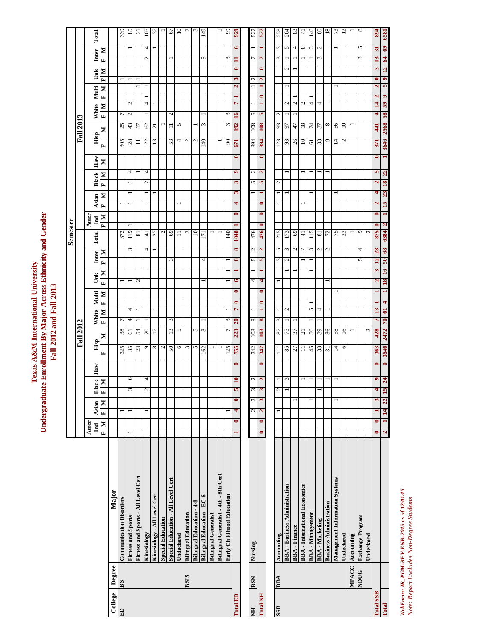| e Enrollment By Major Across Ethnicity and Ger<br>d Univer.<br>Fall 2012 and Fall 2013<br>exas A &M International |
|-------------------------------------------------------------------------------------------------------------------|
|-------------------------------------------------------------------------------------------------------------------|

|                  |              |                                       |                             |                              |              |                   |                  |                       |                            |                |                          |              |                   | Semester                      |                    |       |                             |           |                         |                     |                      |                           |                   |                        |                 |
|------------------|--------------|---------------------------------------|-----------------------------|------------------------------|--------------|-------------------|------------------|-----------------------|----------------------------|----------------|--------------------------|--------------|-------------------|-------------------------------|--------------------|-------|-----------------------------|-----------|-------------------------|---------------------|----------------------|---------------------------|-------------------|------------------------|-----------------|
|                  |              |                                       |                             |                              |              |                   |                  | <b>Fall 2012</b>      |                            |                |                          |              |                   |                               |                    |       |                             |           |                         | <b>Fall 2013</b>    |                      |                           |                   |                        |                 |
|                  |              |                                       | Amer<br>$\mathbf{I}$        | Asian                        | lack<br>[⊠   | $_{\rm Haw}$      | Hisp             |                       | White                      | Multi          | Unk                      | Inter        |                   | Amer<br>$\mathbf{I}$<br>Total |                    | Asian | <b>Black</b>                | Haw       | Hisp                    |                     | White                | <b>Multi</b>              | Unk               | Inter                  | Total           |
|                  |              |                                       | $\mathbf{N}$   $\mathbf{H}$ | Σ<br>E                       | $\mathbf{r}$ | Σ                 | 国                | Σ                     | Σ<br>国                     | Σ<br>Þ,        | Σ<br>Þ,                  | 国            | N                 | E                             | E,<br>Σ            | Σ     | Σ<br>$\mathbf{r}$           | Σ         | 国                       | $\mathbf{r}$<br>Σ   | Σ                    | Σ<br>E                    | Σ<br>E            | Σ<br>国                 |                 |
| College          | Degree       | Major                                 |                             |                              |              |                   |                  |                       |                            |                |                          |              |                   |                               |                    |       |                             |           |                         |                     |                      |                           |                   |                        |                 |
| E                | $_{BS}$      | <b>Communication Disorders</b>        |                             |                              |              |                   |                  | 38                    | Γ                          |                |                          |              |                   | 372                           |                    |       |                             |           |                         | 25                  | Γ                    |                           |                   |                        | 339             |
|                  |              | <b>Fitness and Sports</b>             |                             |                              |              | O                 | $\frac{325}{33}$ | 5                     | 4<br>4                     |                | $\overline{\phantom{0}}$ |              | 3                 | 119                           |                    |       | 4                           |           | $\frac{305}{28}$        | 43                  | $\mathbf{c}$<br>N    |                           |                   |                        | 85              |
|                  |              | Fitness and Sports - All Level Cert   |                             |                              |              |                   |                  | 54                    |                            |                | $\mathcal{L}$            |              |                   | ವ                             |                    |       |                             |           | Ξ                       | E                   |                      |                           |                   |                        | $\overline{5}$  |
|                  |              | Kinesiology                           |                             |                              |              | 4                 | ٥                | $\mathfrak{D}$        |                            |                |                          |              | 4                 | 4                             |                    |       | 4<br>2                      |           | 22                      | $\mathcal{C}$       | 4                    |                           |                   | 4<br>2                 | 105             |
|                  |              | Kinesiology - All Level Cert          |                             |                              |              |                   | $\infty$         | Ξ                     |                            |                |                          |              |                   | 27                            |                    |       |                             |           | $\mathbf{L}$            | $\overline{c}$      |                      |                           |                   |                        | 37              |
|                  |              | <b>Special Education</b>              |                             |                              |              |                   | $\mathcal{L}$    |                       |                            |                |                          |              |                   | $\mathcal{L}$                 |                    |       |                             |           |                         |                     |                      |                           |                   |                        |                 |
|                  |              | Special Education - All Level Cert    |                             |                              |              |                   | 50               | 13                    | 3                          |                |                          | ς            |                   | 69                            |                    |       |                             |           | 53                      | $\equiv$            | N                    |                           |                   |                        | 67              |
|                  |              | Undeclared                            |                             |                              |              |                   | 6                | 5                     |                            |                |                          |              |                   | コ                             |                    |       |                             |           | 4                       | 5                   |                      |                           |                   |                        | $\overline{10}$ |
|                  | <b>SISE</b>  | <b>Bilingual Education</b>            |                             |                              |              |                   | $\omega$         |                       |                            |                |                          |              |                   | ξ                             |                    |       |                             |           | $\mathcal{L}$           |                     |                      |                           |                   |                        | $\sim$          |
|                  |              | <b>Bilingual Education - 4-8</b>      |                             |                              |              |                   | S                | 5                     |                            |                |                          |              |                   | $\Xi$                         |                    |       |                             |           | $\mathbf{C}$            |                     |                      |                           |                   |                        | S               |
|                  |              | <b>Bilingual Education - EC-6</b>     |                             |                              |              |                   | 162              | 3                     |                            |                |                          | 4            |                   | Ξ                             |                    |       |                             |           | $\overline{a}$          | 3                   |                      |                           |                   | 5                      | 149             |
|                  |              | <b>Bilingual Generalist</b>           |                             |                              |              |                   |                  |                       |                            |                |                          |              |                   |                               |                    |       |                             |           |                         |                     |                      |                           |                   |                        |                 |
|                  |              | Bilingual Generalist - 4th - 8th Cert |                             |                              |              |                   |                  |                       |                            |                |                          |              |                   |                               |                    |       |                             |           |                         |                     |                      |                           |                   |                        |                 |
|                  |              | Early Childhood Education             |                             |                              |              |                   | 125              |                       | 3                          |                |                          |              |                   | 140                           |                    |       |                             |           | 8                       | 3                   | ς                    |                           |                   | 3                      | 99              |
| Total ED         |              |                                       | $\bullet$<br>$\blacksquare$ | $\bullet$<br>4               |              | 0                 | 755              | 223                   | r<br>20                    | 0<br>$\bullet$ | $\bullet$                | 8            | $\infty$          | 1048                          | 4<br>0             | 3     | ۰<br>3                      | $\bullet$ | 671                     | $\mathbf{5}$<br>192 | r                    | 2                         | 0<br>3            | 6<br>$\mathbf{I}$      | 929             |
|                  |              |                                       |                             |                              |              |                   |                  |                       |                            |                |                          |              |                   |                               |                    |       |                             |           |                         |                     |                      |                           |                   |                        |                 |
| Ë                | <b>BSN</b>   | Nursing                               |                             | 3<br>2                       |              | $\mathcal{L}$     | 342              | 103                   | ∞                          |                | 4                        | 5            | $\mathcal{L}$     | 476                           |                    |       | $\sim$<br>5                 |           | 394                     | 108                 | 5                    |                           | N                 | 1                      | 527             |
| Total NH         |              |                                       | $\bullet$<br>0              | 3<br>$\overline{\mathbf{c}}$ |              | 0<br>$\mathbf{a}$ | 342              | 103                   | $\blacksquare$<br>$\infty$ | 0<br>0         | 4                        | 5            | $\mathbf{z}$      | 0<br>476                      | 0<br>0             |       | $\mathbf{z}$<br>5           | $\bullet$ | 394                     | 108                 | Ю                    | $\bullet$                 | 0<br>$\mathbf{z}$ | $\overline{ }$         | 527             |
|                  |              |                                       |                             |                              |              |                   |                  |                       |                            |                |                          |              |                   |                               |                    |       |                             |           |                         |                     |                      |                           |                   |                        |                 |
| SSB              | <b>BBA</b>   | Accounting                            |                             |                              |              |                   | Ξ                | $\rm 87$              | $\omega$                   |                |                          | $\epsilon$   | $\mathcal{L}$     | 215                           |                    |       | $\mathcal{L}$               |           | 123                     | 93                  | $\sim$               |                           |                   | $\omega$ $\omega$<br>3 | 228             |
|                  |              | <b>BBA-Business Administration</b>    |                             |                              |              | 3                 |                  | 75                    | $\mathcal{L}$              |                |                          | $\mathbf{c}$ | 3                 | 173                           |                    |       |                             |           | 93                      | 50                  | $\mathcal{L}$        |                           | N                 |                        | 204             |
|                  |              | <b>BBA-Finance</b>                    |                             |                              |              |                   | $rac{27}{2}$     | 57                    |                            |                |                          |              | $\mathcal{L}$     | 69                            |                    |       |                             |           | 26                      | 47                  | $\sim$               |                           |                   | 4                      | 83              |
|                  |              | <b>BBA</b> - International Economics  |                             |                              |              |                   | $\equiv$         | $\overline{z}$        |                            |                |                          |              | $\overline{r}$    | 극                             |                    |       |                             |           | $\overline{10}$         | $^{18}$             | $\sim$               |                           |                   | 8                      | $\pm$           |
|                  |              | <b>BBA</b> - Management               |                             |                              |              |                   | $\frac{45}{33}$  | 56                    | 5                          |                |                          |              | $\epsilon$        | 115                           |                    |       |                             |           | $\overline{\mathbb{G}}$ | 74                  | 4                    |                           |                   | $\epsilon$             | 146             |
|                  |              | <b>BBA</b> - Marketing                |                             |                              |              |                   |                  | $\mathcal{S}^{\circ}$ | 4                          |                |                          |              | $\mathbf{c}$      | $\overline{\mathbf{8}}$       |                    |       |                             |           | 33                      | 57                  | 4                    |                           |                   | $\mathbf{C}$<br>3      | 80              |
|                  |              | <b>Business Administration</b>        |                             |                              |              |                   | $\overline{31}$  | 36                    |                            |                |                          |              | $\mathbf{\Omega}$ | 72                            |                    |       |                             |           | $\circ$                 | $^{\circ}$          |                      |                           |                   |                        | $^{18}$         |
|                  |              | Management Information Systems        |                             |                              |              |                   | $\overline{4}$   | 58                    |                            |                |                          |              |                   | 75                            |                    |       |                             |           | 4                       | 56                  |                      |                           |                   |                        | 73              |
|                  |              | Undeclared                            |                             |                              |              |                   | ৩                | $\overline{16}$       |                            |                |                          |              |                   | 22                            |                    |       |                             |           | $\mathbf{\mathcal{L}}$  | $\approx$           |                      |                           |                   |                        | $\overline{5}$  |
|                  | <b>MPACC</b> | Accounting                            |                             |                              |              |                   |                  |                       |                            |                |                          |              |                   |                               |                    |       |                             |           |                         |                     |                      |                           |                   |                        |                 |
|                  | NDUG         | <b>Exchange Program</b>               |                             |                              |              |                   |                  |                       |                            |                |                          | п            | 4                 | $\sigma$                      |                    |       |                             |           |                         |                     |                      |                           |                   | 5<br>$\sim$            | $\infty$        |
|                  |              | Undeclared                            |                             |                              |              |                   |                  | $\overline{c}$        |                            |                |                          |              |                   | $\mathbf{C}$                  |                    |       |                             |           |                         |                     |                      |                           |                   |                        |                 |
| <b>Total SSB</b> |              |                                       | $\bullet$<br>$\bullet$      | $\mathbf{\tilde{e}}$         |              | $\bullet$<br>۰    | 363              | 428                   | 13<br>ņ                    |                | 2                        | 12<br>3      | 28                | 875                           | $\mathbf{\hat{z}}$ | 4     | m<br>$\mathbf{\hat{z}}$     | 0         | 371                     | 441                 | $\overline{14}$<br>4 | $\mathbf{\tilde{c}}$<br>2 | 3<br>0            | $\overline{31}$<br>13  | 894             |
| <b>Total</b>     |              |                                       | $\blacksquare$<br>2         | 22<br>$\mathbf{14}$          | <b>15</b>    | $\bullet$<br>24   | 3546             | 2472                  | $\mathbf{d}$<br>70         | 4              | 18                       | 50<br>16     | 68                | $\mathbf{\tilde{z}}$<br>6384  | 15                 | 23    | $\boldsymbol{\Omega}$<br>18 |           | 3646                    | 58<br>2568          | 59                   | 5<br>$\bullet$            | 12<br>$\bullet$   | 69<br>64               | 6581            |

WebFocus: IR\_PGM-REV-ENR-2015 as of 1201/15<br>Note: Report Excludes Non-Degree Students *WebFocus: IR\_PGM-REV-ENR-2015 as of 12/01/15 Note: Report Excludes Non-Degree Students*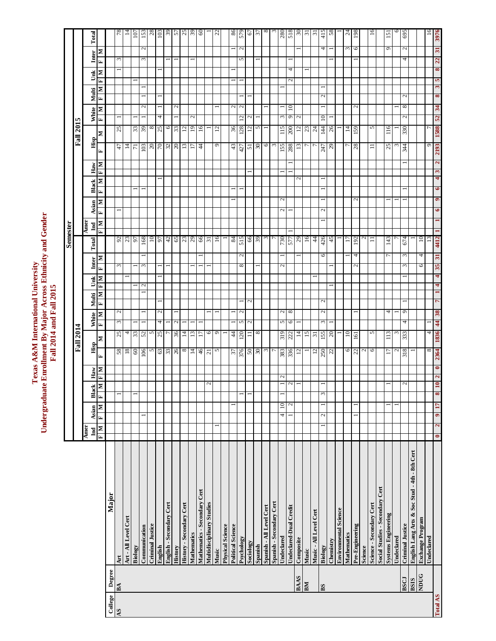Texas A&M International University<br>Undergraduate Enrollment By Major Across Ethnicity and Gender<br>Fall 2014 and Fall 2015 **Undergraduate Enrollment By Major Across Ethnicity and Gender Texas A&M International University Fall 2014 and Fall 2015**

|                  | Total<br>Inter       | Σ                            |         | $\overline{78}$<br>3 | $\vert$ <sup>4</sup> |                 | $\mathcal{L}$<br>3 |                         |              |                          | ခြံခြံခြံခြံမြိုင်္ဂမြို့ခြံခြ |                          |                    |                              |                           | $\frac{1}{2}$     |                         |                          | $rac{86}{579}$<br>$\mathcal{L}$<br>5 |                   | $\frac{5}{10}$ $\frac{10}{10}$ $\frac{10}{10}$ $\frac{10}{10}$ |                          |                          |                                |                            |                   | $\frac{50}{31}$ |                            | $rac{415}{58}$<br>4      |           |                              | $\omega$         | $\frac{24}{198}$<br>6 |                    | $\tilde{=}$              |                                 | 151<br>٥                   |            | 695<br>$\mathcal{L}$<br>4    |                                               |                         | $\tilde{=}$ | 3976<br>$\overline{\mathbf{a}}$ |
|------------------|----------------------|------------------------------|---------|----------------------|----------------------|-----------------|--------------------|-------------------------|--------------|--------------------------|--------------------------------|--------------------------|--------------------|------------------------------|---------------------------|-------------------|-------------------------|--------------------------|--------------------------------------|-------------------|----------------------------------------------------------------|--------------------------|--------------------------|--------------------------------|----------------------------|-------------------|-----------------|----------------------------|--------------------------|-----------|------------------------------|------------------|-----------------------|--------------------|--------------------------|---------------------------------|----------------------------|------------|------------------------------|-----------------------------------------------|-------------------------|-------------|---------------------------------|
|                  | Unk                  | $\mathbf{r}$<br>$\mathbf{N}$ |         |                      |                      |                 |                    |                         |              |                          |                                |                          |                    |                              |                           |                   |                         |                          |                                      |                   |                                                                |                          |                          |                                | 4                          |                   |                 |                            |                          |           |                              |                  |                       |                    |                          |                                 |                            |            |                              |                                               |                         |             | 22<br>$\infty$                  |
|                  |                      | Ŀ                            |         |                      |                      |                 |                    |                         |              |                          |                                |                          |                    |                              |                           |                   |                         |                          |                                      |                   |                                                                |                          |                          |                                | $\mathcal{L}$              |                   |                 |                            |                          |           |                              |                  |                       |                    |                          |                                 |                            |            |                              |                                               |                         |             | ю                               |
|                  | Multi                | $\mathbf{z}$<br>E,           |         |                      |                      |                 |                    |                         |              |                          |                                |                          |                    |                              |                           |                   |                         |                          |                                      |                   |                                                                |                          |                          |                                |                            |                   |                 |                            | Z                        |           |                              |                  |                       |                    |                          |                                 |                            |            | $\mathbf{c}$                 |                                               |                         |             | $\mathfrak{g}$<br>8             |
|                  | White                | $\mathbb{R}$<br>E            |         |                      |                      |                 | $\mathbf{c}$       |                         | 4            |                          | 2                              |                          | $\mathcal{L}$      |                              |                           |                   |                         |                          | $\sim$<br>$12 \overline{)}$          | $\mathcal{L}$     |                                                                |                          |                          | 3                              | $\overline{10}$<br>$\circ$ | $\mathbf{C}$      |                 |                            | 10                       |           |                              |                  | $\mathcal{L}$         |                    |                          |                                 |                            |            | ${}^{\circ}$<br>$\mathbf{c}$ |                                               |                         |             | 34<br>52                        |
| <b>Fall 2015</b> |                      | Σ                            |         | 25                   |                      | 33              | 65                 | $\infty$                | 25           | $\overline{6}$           | 33                             | $12 \overline{ }$        | 61                 | 16                           |                           | $12 \overline{ }$ |                         |                          | 36                                   | $12 \overline{ }$ | S                                                              |                          |                          | 115                            | $200\,$                    |                   | $\frac{12}{23}$ |                            | 144                      |           |                              | $\overline{4}$   | 159                   |                    | 5                        |                                 | 116                        |            | 330                          |                                               |                         |             | 1588                            |
|                  | Hisp                 | E                            |         | $47$                 | 14                   | $\overline{7}$  | £01                |                         |              |                          | $\frac{20}{70}$                | 13                       | $\frac{17}{44}$    |                              |                           | $\circ$           |                         |                          | $\frac{43}{427}$                     | $\overline{51}$   | 0 <sup>5</sup>                                                 | $\sigma$                 | $\sim$                   | 155                            | 887                        | 13                |                 | $\overline{r}$             |                          | 247       |                              |                  | 28                    |                    | $\equiv$                 |                                 | 25                         | $\omega$   | 344                          |                                               |                         | Ó           | 2193                            |
|                  | $_{\rm Haw}$         | $\mathbf{M}$ $\mathbf{A}$    |         |                      |                      |                 |                    |                         |              |                          |                                |                          |                    |                              |                           |                   |                         |                          |                                      |                   |                                                                |                          |                          |                                |                            |                   |                 |                            |                          |           |                              |                  |                       |                    |                          |                                 |                            |            |                              |                                               |                         |             | $\mathbf{z}$<br>S               |
|                  |                      | $\mathbb{R}$                 |         |                      |                      |                 |                    |                         |              |                          |                                |                          |                    |                              |                           |                   |                         |                          |                                      |                   |                                                                |                          |                          |                                |                            | 2                 |                 |                            |                          |           |                              |                  |                       |                    |                          |                                 |                            |            |                              |                                               |                         |             | 4                               |
|                  | Black                | E                            |         |                      |                      |                 |                    |                         |              |                          |                                |                          |                    |                              |                           |                   |                         |                          |                                      |                   |                                                                |                          |                          |                                |                            |                   |                 |                            |                          |           |                              |                  |                       |                    |                          |                                 |                            |            |                              |                                               |                         |             | $\bullet$                       |
|                  | Asian                | $\mathbf{N}$   $\mathbf{H}$  |         |                      |                      |                 |                    |                         |              |                          |                                |                          |                    |                              |                           |                   |                         |                          |                                      |                   |                                                                |                          |                          | $\mathcal{L}$<br>$\mathcal{L}$ |                            |                   |                 |                            | $\mathcal{L}$            |           |                              |                  | $\mathcal{L}$         |                    |                          |                                 |                            |            |                              |                                               |                         |             | $\bullet$                       |
|                  |                      |                              |         |                      |                      |                 |                    |                         |              |                          |                                |                          |                    |                              |                           |                   |                         |                          |                                      |                   |                                                                |                          |                          |                                |                            |                   |                 |                            |                          |           |                              |                  |                       |                    |                          |                                 |                            |            |                              |                                               |                         |             |                                 |
|                  | Amer<br>Ind          | $\mathbf{M}$   $\mathbf{H}$  |         |                      |                      |                 |                    |                         |              |                          |                                |                          |                    |                              |                           |                   |                         |                          |                                      |                   |                                                                |                          |                          |                                |                            |                   |                 |                            |                          |           |                              |                  |                       |                    |                          |                                 |                            |            |                              |                                               |                         |             |                                 |
| Semester         | Total                |                              |         |                      | $\frac{92}{37}$      |                 | 168                | 10                      | 54           |                          | 3 8 3 8 5                      |                          |                    |                              |                           | 16                |                         |                          | $rac{84}{515}$                       |                   | $rac{66}{39}$                                                  |                          |                          | 730                            | LLS                        | $\frac{29}{16}$   |                 | $\frac{4}{4}$              | $rac{426}{45}$           |           |                              | $\overline{17}$  | 192                   | $\mathcal{L}$      | Ξ                        |                                 | 143                        |            | 674                          |                                               | 10                      | 13          | 4412                            |
|                  | Inter                | $\blacksquare$<br>E,         |         | 3                    |                      |                 | 3                  |                         |              |                          |                                |                          |                    |                              |                           |                   |                         |                          | $\mathcal{L}$<br>$\infty$            |                   |                                                                |                          |                          | $\mathcal{L}_{\mathcal{A}}$    |                            |                   |                 |                            | 6                        |           |                              |                  | 4<br>$\mathcal{L}$    |                    |                          |                                 |                            |            | 3<br>$\sim$                  |                                               | 4<br>6                  |             | 31<br>35                        |
|                  | Unk                  | $\mathbf{N}$ $\mathbf{H}$    |         |                      |                      |                 |                    |                         |              |                          |                                |                          |                    |                              |                           |                   |                         |                          |                                      |                   |                                                                |                          |                          |                                |                            |                   |                 |                            |                          |           |                              |                  |                       |                    |                          |                                 |                            |            |                              |                                               |                         |             | 4                               |
|                  |                      | $\mathbf{z}$                 |         |                      |                      |                 | $\mathbf{\Omega}$  |                         |              |                          |                                |                          |                    |                              |                           |                   |                         |                          |                                      |                   |                                                                |                          |                          |                                |                            |                   |                 |                            |                          |           |                              |                  |                       |                    |                          |                                 |                            |            |                              |                                               |                         |             |                                 |
|                  | Multi                | E                            |         |                      |                      |                 |                    |                         |              |                          |                                |                          |                    |                              |                           |                   |                         |                          |                                      | $\mathcal{L}$     |                                                                |                          |                          |                                |                            |                   |                 |                            | N                        |           |                              |                  |                       |                    |                          |                                 |                            |            |                              |                                               |                         |             |                                 |
|                  | White                | N                            |         | $\mathbf{c}$         |                      |                 |                    |                         | $\mathbf{C}$ |                          |                                |                          |                    |                              |                           |                   |                         |                          | $\mathcal{L}$                        |                   |                                                                |                          |                          | $\mathcal{L}$                  | $\infty$                   |                   |                 |                            | Z                        |           |                              |                  |                       |                    |                          |                                 | 4                          |            | $\circ$                      |                                               |                         |             | 38                              |
|                  |                      | E                            |         | $\epsilon$           |                      |                 |                    |                         | 4            |                          | $\mathbf{\mathcal{L}}$         |                          |                    |                              |                           |                   |                         |                          | S                                    | $\mathbf{c}$      |                                                                |                          |                          | 5                              | $\circ$                    |                   |                 |                            | $\epsilon$               |           |                              |                  |                       |                    |                          |                                 |                            |            | 4                            |                                               |                         |             | $\overline{\mathbf{r}}$         |
| <b>Fall 2014</b> | Hisp                 | Σ                            |         | 25                   | 4                    | $\frac{33}{52}$ |                    | 5                       | 25           | L                        | 36                             | $\overline{14}$          | $\frac{13}{17}$    |                              | 0                         | $\circ$           |                         | 44                       | 120                                  | $\equiv$          | $\infty$                                                       |                          |                          | 319                            | 222                        | 14                | 15              | $\overline{\phantom{0}}31$ | 155                      |           |                              | $10\overline{)}$ | 161                   |                    | 5                        |                                 | 113                        | ω          | 333                          |                                               |                         | 4           | 1836                            |
|                  |                      | E                            |         | 58                   | 18                   | $60\,$          | 106                | S                       |              |                          | $rac{63}{33}$                  | $_{\rm 8}$               | $\frac{14}{46}$    |                              |                           | 5                 |                         |                          | 376                                  |                   | $\frac{50}{3}$                                                 |                          |                          | 383                            | 336                        | $12 \overline{)}$ |                 | $12 \overline{)}$          | 250                      |           |                              | $\circ$          |                       | $22$ $\frac{2}{6}$ |                          |                                 | $\Box$                     | $\sim$     | 318                          |                                               |                         | $^{\circ}$  | 2364                            |
|                  | $_{\rm Haw}$         | М<br>H                       |         |                      |                      |                 |                    |                         |              |                          |                                |                          |                    |                              |                           |                   |                         |                          |                                      |                   |                                                                |                          |                          | Z                              |                            |                   |                 |                            |                          |           |                              |                  |                       |                    |                          |                                 |                            |            |                              |                                               |                         |             | $\bullet$<br>$\mathbf{z}$       |
|                  | lack<br>쯰            | Z<br>E                       |         |                      |                      |                 |                    |                         |              |                          |                                |                          |                    |                              | 2                         |                   |                         |                          |                                      |                   |                                                                |                          |                          |                                | $\mathcal{L}$              |                   |                 |                            |                          |           |                              |                  |                       |                    |                          |                                 |                            |            | $\mathbf{c}$                 |                                               |                         |             | $\overline{10}$                 |
|                  | Asian                | $\frac{N}{F}$                |         |                      |                      |                 |                    |                         |              |                          |                                |                          |                    |                              |                           |                   |                         |                          |                                      |                   |                                                                |                          |                          | $\overline{10}$                | 2                          |                   |                 |                            | ۳                        |           |                              |                  |                       |                    |                          |                                 |                            |            |                              |                                               |                         |             | 17                              |
|                  |                      |                              |         |                      |                      |                 |                    |                         |              |                          |                                |                          |                    |                              |                           |                   |                         |                          |                                      |                   |                                                                |                          |                          | 4                              |                            |                   |                 |                            | 2                        |           |                              |                  |                       |                    |                          |                                 |                            |            |                              |                                               |                         |             | $\bullet$                       |
|                  | Amer<br>$\mathbf{H}$ | $\frac{1}{\mathbf{N}}$       |         |                      |                      |                 |                    |                         |              |                          |                                |                          |                    |                              |                           |                   |                         |                          |                                      |                   |                                                                |                          |                          |                                |                            |                   |                 |                            | $\overline{\phantom{0}}$ |           |                              |                  |                       |                    |                          |                                 |                            |            |                              |                                               |                         |             | $\overline{c}$<br>$\bullet$     |
|                  |                      |                              | Major   | Art                  | Art - All Level Cert | Biology         | Communication      | <b>Criminal Justice</b> | English      | English - Secondary Cert | History                        | History - Secondary Cert | <b>Mathematics</b> | Mathematics - Secondary Cert | Multidisciplinary Studies | Music             | <b>Physical Science</b> | <b>Political Science</b> | Psychology                           | Sociology         | Spanish                                                        | Spanish - All Level Cert | Spanish - Secondary Cert | Undeclared                     | Undeclared-Dual Credit     | Composite         | Music           | Music - All Level Cert     | Biology                  | Chemistry | <b>Environmental Science</b> | Mathematics      | Pre-Engineering       | Science            | Science - Secondary Cert | Social Studies - Secondary Cert | <b>Systems Engineering</b> | Undeclared | <b>Criminal Justice</b>      | English Lang Arts & Soc Stud - 4th - 8th Cert | <b>Exchange Program</b> | Undeclared  |                                 |
|                  |                      |                              | Degree  | BA                   |                      |                 |                    |                         |              |                          |                                |                          |                    |                              |                           |                   |                         |                          |                                      |                   |                                                                |                          |                          |                                |                            | <b>BAAS</b>       | BМ              |                            | $_{BS}$                  |           |                              |                  |                       |                    |                          |                                 |                            |            | <b>LOSE</b>                  | <b>BSIS</b>                                   | NDUG                    |             |                                 |
|                  |                      |                              | College | AS                   |                      |                 |                    |                         |              |                          |                                |                          |                    |                              |                           |                   |                         |                          |                                      |                   |                                                                |                          |                          |                                |                            |                   |                 |                            |                          |           |                              |                  |                       |                    |                          |                                 |                            |            |                              |                                               |                         |             | Total AS                        |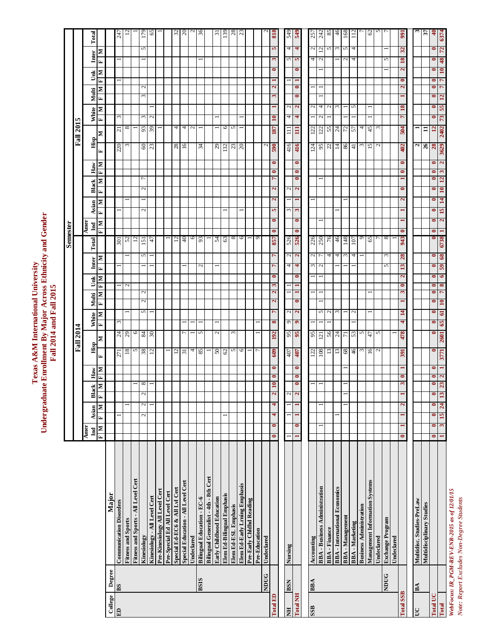Texas A&M International University<br>Undergraduate Enrollment By Major Across Ethnicity and Gender<br>Fall 2014 and Fall 2015 **Undergraduate Enrollment By Major Across Ethnicity and Gender Texas A&M International University Fall 2014 and Fall 2015**

|                  |             |                                       |                        |                                   |                             |                             |                       |                  |                                                              |                           |                                   |                            |                             | Semester                                                |                        |                         |                                |                                                    |                  |                       |                                 |                              |                           |                        |                                                         |                                                         |
|------------------|-------------|---------------------------------------|------------------------|-----------------------------------|-----------------------------|-----------------------------|-----------------------|------------------|--------------------------------------------------------------|---------------------------|-----------------------------------|----------------------------|-----------------------------|---------------------------------------------------------|------------------------|-------------------------|--------------------------------|----------------------------------------------------|------------------|-----------------------|---------------------------------|------------------------------|---------------------------|------------------------|---------------------------------------------------------|---------------------------------------------------------|
|                  |             |                                       |                        |                                   |                             |                             |                       | <b>Fall 2014</b> |                                                              |                           |                                   |                            |                             |                                                         |                        |                         |                                |                                                    |                  | <b>Fall 2015</b>      |                                 |                              |                           |                        |                                                         |                                                         |
|                  |             |                                       | Amer<br>$\mathbf{I}$   | Asian                             | lack                        | $_{\rm Haw}$                |                       | Hisp             |                                                              | Multi                     |                                   | Inter                      | Total                       | Amer                                                    |                        | Asian                   | Black                          |                                                    | Hisp             |                       | White                           | Multi                        | Ŭmk                       |                        | Inter                                                   | Total                                                   |
|                  |             |                                       | $\overline{F}$ M       | $\mathbf{M} \parallel \mathbf{H}$ | $\blacksquare$<br>ี่<br>⊟ี⊫ | $\frac{M}{E}$               | 国                     | N                | $\blacksquare$<br>$\frac{\text{White}}{\text{F}   \text{M}}$ | E                         | $\frac{Unk}{F M}$<br>$\mathbf{N}$ | $\mathbf{F}$               | N                           | $\frac{\mathbb{Z}[\mathbf{x}]}{\mathbb{E}[\mathbf{x}]}$ | E                      | E<br>м                  | ×                              | $\frac{\text{H}_{\text{aw}}}{\text{H}_{\text{H}}}$ | E                | Z                     | М<br>$\overline{H}$             | $\mathbf{N}$<br>$\mathbf{F}$ | $\frac{M}{L}$             | Ŀ,                     | Z                                                       |                                                         |
| College          | Degree      | Major                                 |                        |                                   |                             |                             |                       |                  |                                                              |                           |                                   |                            |                             |                                                         |                        |                         |                                |                                                    |                  |                       |                                 |                              |                           |                        |                                                         |                                                         |
| $\Xi$            | BS          | <b>Communication Disorders</b>        |                        |                                   |                             |                             | 271                   | $\frac{24}{29}$  | $\omega$                                                     |                           |                                   |                            |                             | $\frac{301}{52}$                                        |                        |                         |                                |                                                    | 220              | 12                    | $\omega$                        |                              |                           |                        |                                                         | 247                                                     |
|                  |             | Fitness and Sports                    |                        |                                   |                             |                             | 18                    |                  |                                                              |                           | $\mathcal{L}$                     |                            |                             |                                                         |                        |                         |                                |                                                    | $\omega$         | $\infty$              |                                 |                              |                           |                        |                                                         | $\overline{z}$                                          |
|                  |             | Fitness and Sports - All Level Cert   |                        |                                   |                             |                             | S                     | $\circ$          |                                                              |                           |                                   |                            |                             | 12                                                      |                        |                         |                                |                                                    |                  |                       |                                 |                              |                           |                        |                                                         |                                                         |
|                  |             | Kinesiology                           |                        | 2<br>2                            | ${}^{\circ}$                |                             | $\frac{38}{12}$       | $\frac{84}{30}$  |                                                              | $\mathcal{L}$<br>5        | $\mathbf{c}$                      |                            | 151<br>5                    |                                                         | $\mathcal{L}$          |                         | Γ<br>$\mathcal{L}$             |                                                    | 60               | $93\,$                | $\omega$                        | 3                            | $\mathcal{L}$             |                        | S                                                       | 179                                                     |
|                  |             | Kinesiology - All Level Cert          |                        |                                   |                             |                             |                       |                  |                                                              |                           |                                   |                            |                             | 47                                                      |                        |                         |                                |                                                    |                  | $39$                  | $\sim$                          |                              |                           |                        |                                                         | 65                                                      |
|                  |             | Pre-Kinesiology All Level Cert        |                        |                                   |                             |                             |                       |                  |                                                              |                           |                                   |                            |                             |                                                         |                        |                         |                                |                                                    |                  |                       |                                 |                              |                           |                        |                                                         |                                                         |
|                  |             | Pre-Special Ed All Level Cert         |                        |                                   |                             |                             |                       |                  |                                                              |                           |                                   |                            |                             |                                                         |                        |                         |                                |                                                    |                  |                       |                                 |                              |                           |                        |                                                         |                                                         |
|                  |             | Special Ed-EC6 & All Lvl Cert         |                        |                                   |                             |                             | $12 \overline{)}$     |                  |                                                              |                           |                                   |                            |                             | $\overline{\mathfrak{c}}$                               |                        |                         |                                |                                                    | 28               | 4                     |                                 |                              |                           |                        |                                                         |                                                         |
|                  |             | Special Education - All Level Cert    |                        |                                   |                             |                             | $\overline{31}$       | $\overline{ }$   |                                                              |                           |                                   |                            |                             | 40                                                      |                        |                         |                                |                                                    | 16               | 4                     |                                 |                              |                           |                        |                                                         | $\frac{32}{20}$                                         |
|                  |             | Undeclared                            |                        |                                   |                             |                             | 4                     |                  |                                                              |                           |                                   |                            |                             | $\circ$                                                 |                        |                         |                                |                                                    |                  | $\sim$                |                                 |                              |                           |                        |                                                         |                                                         |
|                  | <b>BSIS</b> | <b>Bilingual Education - EC-6</b>     |                        |                                   |                             |                             | 85                    | $\sim$           |                                                              |                           |                                   | $\mathcal{L}$              |                             | 93                                                      |                        |                         |                                |                                                    | 34               | -                     |                                 |                              |                           |                        |                                                         | $\frac{2}{36}$                                          |
|                  |             | Bilingual Generalist - 4th - 8th Cert |                        |                                   |                             |                             |                       |                  |                                                              |                           |                                   |                            |                             |                                                         |                        |                         |                                |                                                    |                  |                       |                                 |                              |                           |                        |                                                         |                                                         |
|                  |             | Early Childhood Education             |                        |                                   |                             |                             | 50                    | $\mathcal{L}$    |                                                              |                           |                                   |                            |                             | 54                                                      |                        |                         |                                |                                                    |                  |                       |                                 |                              |                           |                        |                                                         |                                                         |
|                  |             | Elem Ed-Bilingual Emphasis            |                        |                                   |                             |                             | 62                    |                  |                                                              |                           |                                   |                            |                             | 63                                                      |                        |                         |                                |                                                    | 29<br>132        |                       |                                 |                              |                           |                        |                                                         |                                                         |
|                  |             | Elem Ed-ESL Emphasis                  |                        |                                   |                             |                             | $\sim$                | 3                |                                                              |                           |                                   |                            |                             | $\infty$                                                |                        |                         |                                |                                                    |                  | $\circ$ $\circ$       |                                 |                              |                           |                        |                                                         |                                                         |
|                  |             | Elem Ed-Early Lrning Emphasis         |                        |                                   |                             |                             | $\circ$               |                  |                                                              |                           |                                   |                            |                             | 6                                                       |                        |                         |                                |                                                    | $\frac{23}{20}$  |                       |                                 |                              |                           |                        |                                                         | $\frac{71.88}{2}$                                       |
|                  |             | Pre-Early Chidhd Reading              |                        |                                   |                             |                             |                       |                  |                                                              |                           |                                   |                            |                             |                                                         |                        |                         |                                |                                                    |                  |                       |                                 |                              |                           |                        |                                                         |                                                         |
|                  |             | Pre-Education                         |                        |                                   |                             |                             | r,                    |                  |                                                              |                           |                                   |                            |                             | O                                                       |                        |                         |                                |                                                    |                  |                       |                                 |                              |                           |                        |                                                         |                                                         |
|                  | NDUG        | Undeclared                            |                        |                                   |                             |                             |                       |                  |                                                              |                           |                                   |                            |                             |                                                         |                        |                         |                                |                                                    | $\mathcal{L}$    |                       |                                 |                              |                           |                        |                                                         | $\sim$                                                  |
| <b>Total ED</b>  |             |                                       | $\bullet$<br>$\bullet$ | 4<br>4                            | 10                          | $\bullet$                   | 609<br>$\bullet$      | 192              | $\infty$                                                     | 2<br>r                    | S<br>$\mathbf{z}$                 | 7<br>$\bullet$             | $\triangleright$            | $\bullet$<br>857                                        | 5<br>$\bullet$         | $\overline{\mathbf{c}}$ | $\overline{ }$<br>$\mathbf{a}$ | $\bullet$<br>$\bullet$                             | 590              | 187                   | T<br>$\mathbf{a}$               | 3                            | $\mathbf{z}$              | $\bullet$              | 5<br>$\mathfrak{g}$                                     | 818                                                     |
|                  |             |                                       |                        |                                   |                             |                             |                       |                  |                                                              |                           |                                   |                            |                             |                                                         |                        |                         |                                |                                                    |                  |                       |                                 |                              |                           |                        |                                                         |                                                         |
| Ë                | <b>BSN</b>  | Nursing                               |                        |                                   |                             |                             | 407                   | 95               | $\circ$                                                      | $\sim$                    |                                   |                            | 526<br>526<br>$\frac{2}{2}$ |                                                         | 3                      |                         | $\mathcal{L}$                  |                                                    | 416              | $\equiv$              | 4                               |                              |                           |                        | 4                                                       |                                                         |
| <b>Total NH</b>  |             |                                       | $\bullet$              |                                   | $\bullet$                   | $\bullet$                   | 407<br>$\bullet$      | 95               | $\bullet$                                                    | $\bullet$<br>$\mathbf{a}$ | $\blacksquare$<br>$\blacksquare$  | $\frac{4}{4}$<br>$\bullet$ |                             | $\bullet$                                               | $\bullet$              |                         | $\bullet$<br>$\mathbf{a}$      | $\bullet$<br>$\bullet$                             | 416              | $\overline{111}$      | $\frac{2}{3}$<br>$\overline{4}$ | $\bullet$                    | $\bullet$                 | $\bullet$              | $\overline{4}$<br>n n                                   | $\frac{25}{3}$                                          |
|                  |             |                                       |                        |                                   |                             |                             |                       |                  |                                                              |                           |                                   |                            |                             |                                                         |                        |                         |                                |                                                    |                  |                       |                                 |                              |                           |                        |                                                         |                                                         |
| <b>SSS</b>       | <b>BBA</b>  | Accounting                            |                        |                                   |                             |                             |                       |                  |                                                              |                           |                                   | $\frac{1}{2}$              | $\frac{2}{7}$               |                                                         |                        |                         |                                |                                                    |                  |                       | $\sim$                          |                              |                           |                        | 4 <sub>o</sub>                                          |                                                         |
|                  |             | <b>BBA</b> - Business Administration  |                        |                                   |                             |                             | 122                   | $\frac{95}{121}$ |                                                              | 5                         |                                   |                            | 226                         |                                                         |                        |                         |                                |                                                    | $\frac{124}{95}$ | $\frac{12}{125}$      | 4<br>N                          |                              |                           |                        | $\frac{2}{2}$ $\frac{1}{2}$ $\frac{1}{2}$ $\frac{1}{2}$ | $\frac{5}{3}$ $\frac{3}{8}$ $\frac{8}{4}$ $\frac{6}{8}$ |
|                  |             | <b>BBA-Finance</b>                    |                        |                                   |                             |                             | 13                    |                  |                                                              | $\mathcal{L}$             |                                   |                            | 4                           | 76                                                      |                        |                         |                                |                                                    |                  |                       | $\mathcal{L}$                   |                              |                           |                        |                                                         |                                                         |
|                  |             | <b>BBA</b> - International Economics  |                        |                                   |                             |                             | 13                    | 24               |                                                              | $\omega$                  |                                   |                            | 4                           | 46                                                      |                        |                         |                                |                                                    | 14               | $\boldsymbol{\Sigma}$ | $\epsilon$                      |                              |                           |                        |                                                         |                                                         |
|                  |             | <b>BBA</b> - Management               |                        |                                   |                             |                             | 68                    | 71               |                                                              |                           |                                   |                            | 3                           | 148                                                     |                        |                         |                                |                                                    | 98               | $72\,$                |                                 |                              |                           |                        | S<br>$\mathcal{L}$                                      |                                                         |
|                  |             | <b>BBA</b> - Marketing                |                        |                                   |                             |                             | $\frac{46}{3}$        | 53               |                                                              | $\mathbf{c}$              |                                   |                            | 4                           | 107                                                     |                        |                         |                                |                                                    | $\overline{1}$   | 57                    | 5                               |                              |                           |                        | 4<br>4                                                  | 112                                                     |
|                  |             | <b>Business Administration</b>        |                        |                                   |                             |                             |                       | $\sim$           |                                                              |                           |                                   |                            |                             | $\circ$                                                 |                        |                         |                                |                                                    | $\omega$         | 4                     |                                 |                              |                           |                        |                                                         |                                                         |
|                  |             | Management Information Systems        |                        |                                   |                             |                             | 16                    | 47               |                                                              |                           |                                   |                            |                             | 65                                                      |                        |                         |                                |                                                    | 15               | 45                    |                                 |                              |                           |                        |                                                         | 62                                                      |
|                  |             | Undeclared                            |                        |                                   |                             |                             | $\mathcal{L}$         | 5                |                                                              |                           |                                   |                            |                             |                                                         |                        |                         |                                |                                                    | $\mathbf{c}$     | $\omega$              |                                 |                              |                           |                        |                                                         | $\sim$ $\sim$                                           |
|                  | NDUG        | <b>Exchange Program</b>               |                        |                                   |                             |                             |                       |                  |                                                              |                           |                                   | 5                          | $\omega$                    | 8                                                       |                        |                         |                                |                                                    |                  |                       |                                 |                              |                           |                        | 5                                                       |                                                         |
|                  |             | Undeclared                            |                        |                                   |                             |                             |                       |                  |                                                              |                           |                                   |                            |                             |                                                         |                        |                         |                                |                                                    |                  |                       |                                 |                              |                           |                        |                                                         |                                                         |
| <b>Total SSB</b> |             |                                       | 1<br>$\bullet$         | 2<br>$\blacksquare$               |                             | $\bullet$<br>$\mathfrak{g}$ | 391<br>$\blacksquare$ | 478              | 4                                                            | 14                        | $\bullet$<br>S                    | 13<br>$\mathbf{z}$         | 28                          | $\bullet$<br>943                                        |                        | $\overline{\mathbf{c}}$ | $\bullet$                      | $\bullet$<br>0                                     | 402              | 504                   | 18<br>$\overline{ }$            | 1                            | $\bullet$<br>$\mathbf{z}$ | 18<br>$\mathbf{z}$     | 32                                                      | 991                                                     |
|                  |             |                                       |                        |                                   |                             |                             |                       |                  |                                                              |                           |                                   |                            |                             |                                                         |                        |                         |                                |                                                    |                  |                       |                                 |                              |                           |                        |                                                         |                                                         |
| <b>DC</b>        | BA          | Multidisc. Studies-PreLaw             |                        |                                   |                             |                             |                       |                  |                                                              |                           |                                   |                            |                             |                                                         |                        |                         |                                |                                                    | 2                |                       |                                 |                              |                           |                        |                                                         |                                                         |
|                  |             | Multidisciplinary Studies             |                        |                                   |                             |                             |                       |                  |                                                              |                           |                                   |                            |                             |                                                         |                        |                         |                                |                                                    | 26               | $\Xi$                 |                                 |                              |                           |                        |                                                         | $\overline{\mathbf{E}}$                                 |
| Total UC         |             |                                       | $\bullet$<br>$\bullet$ | $\bullet$<br>$\bullet$            | $\bullet$                   | $\bullet$                   | 0<br>$\bullet$        | $\bullet$        | $\bullet$                                                    | $\bullet$<br>$\bullet$    | $\bullet$<br>$\bullet$            | $\bullet$<br>$\bullet$     | $\bullet$                   | $\bullet$<br>0                                          | $\bullet$<br>$\bullet$ | $\bullet$               | $\bullet$<br>$\bullet$         | $\bullet$<br>0                                     |                  | $\overline{a}$        | $\bullet$<br>$\bullet$          | $\bullet$                    | $\bullet$<br>$\bullet$    | $\bullet$<br>$\bullet$ | $\bullet$                                               | $\mathbf{a}$                                            |
| Total            |             |                                       |                        | $3 \mid 15 \mid 24$               | 23<br>$\mathbf{13}$         | $\mathbf{z}$                | 3771<br>H             | 2601             | 65                                                           | $\overline{10}$<br>61     | 8<br>7                            | 59<br>6                    | 6738<br>68                  |                                                         | 15<br>2                | 14                      | 12<br>$\mathbf{a}$             | $\mathbf{z}$<br>S                                  | 3629             | 2402                  | 55<br>73                        | 12                           | 7<br>r                    | 48<br>10               | 72                                                      | 6374                                                    |

WebFocus: IR\_PGM-REV-ENR-2015 as of 12/01/15<br>Note: Report Excludes Non-Degree Students *WebFocus: IR\_PGM-REV-ENR-2015 as of 12/01/15 Note: Report Excludes Non-Degree Students*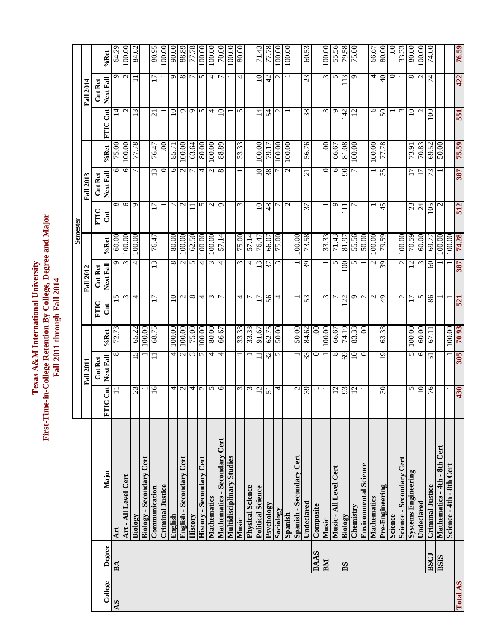First-Time-in-College Retention By College, Degree and Major **First-Time-in-College Retention By College, Degree and Major Texas A&M** International University **Texas A&M International University** Fall 2011 through Fall 2014 **Fall 2011 through Fall 2014**

**Semester**

76.59 **Art** 11 8 72.73 15 9 60.00 8 6 75.00 14 9 64.29 **Art - All Level Cert** 3 3 100.00 6 6 100.00 2 2 100.00 84.62 **Biology** 23 13 13 13 14 4 4 12 12 12 12 12 13 14.62 **Communication** 16 16 11 68.75 17 13 76.47 13 76.47 13 76.47 21 17 80.95 **Criminal Justice** 1 0 .00 1 1 100.00 00.00.06 |o |or |or |c,s8 |o |c |oo.08 |s |or |or |oo.001 <del>|v</del> | <del>v</del> | |or |or |or |or |or |or |or | **English - Secondary Cert** 2 2 100.00 2 2 100.00 2 2 100.00 9 8 88.89 **History** 9 7 3 75.00 8 8 8 8 8 8 9 9 9 7 72.78 00.001 「S US 100.00 T US 100.001 T T T T 100.00 I 2 2 100.00 A 2 100.00 FAM A 2 100.00 F D 2 2 100 F **Mathematics** 5 4 80.00 3 3 100.00 2 2 100.00 4 4 100.00 **Mathematics - Secondary Statements - Secondary Statements - Secondary - Secondary - Secondary - Secondary - Secondary - Secondary - Secondary - Secondary - Secondary - Secondary - Secondary - Secondary - Secondary - Secon Multidisciplinary Studies** 1 1 100.00 **Music** 3 1 33.33 4 3 75.00 3 1 33.33 5 4 80.00 **Psychology** 51 51 32 61.75 56 32 66.07 56 32 66.07 56 38 51 52.758 **Sociology** 4 2 50.00 4 3 75.00 7 7 100.00 2 2 100.00 **Spanish** 2 2 100.00 1 1 100.00 **Music** 1 1 100.00 3 1 33.33 1 0 .00 3 3 100.00 **Music - All Level Cert** 12 8 66.67 5 51.43 9 9 66.67 9 9 66.67 9 9 55.56 **Biology** 92.19 74.21 98.118 106 1111 111 14.17 14.18 16.18 16.17 16.17 16.17 16.19 16.97 16.97 16.09 16.09 16.0 **Chemistry** 12 10 83.33 9 5 55.56 7 7 100.00 12 9 75.00 **Mathematics** 60.001 100.001 1 1 1 1 1 1 1 1 1 1 1 1 66.67 **Pre-Engineering** 30 19 57.78 59.33 54 54 56.91 54 56.91 55 36.33 51 36.33 51 36.33 51 36.33 51 36.33 51 36.33 **Science** 1 0 .00 **Systems Engineering Systems and Internative Collumnation** 5 17 17 17 18 18 18 18 19 10 10 10 10 10 10 10 10 10 1 **Undeclared** 10 6 60.00 5 3 60.00 24 17 70.83 2 2 100.00 **BSCJ Criminal Justice Criminal Justice 1 Criminal Justice** 10 50.00 60.00 60.00 60.00 50.77 74.00 73.00 74.00 74.000 74.000 74.000 74.000 74.000 74.000 74.000 74.000 74.000 74.000 74.000 74.000 74.000 74.000 74.00  $\frac{10}{421}$   $\frac{1053}{421}$   $\frac{1030}{4301}$   $\frac{3051}{421}$   $\frac{521}{3621}$   $\frac{521}{321}$   $\frac{521}{321}$   $\frac{387}{4281}$   $\frac{74.28}{421}$   $\frac{1059}{421}$   $\frac{1059}{421}$   $\frac{1059}{421}$   $\frac{1059}{421}$ 100.00 80.95 90.00 88.89 100.00 100.00 80.00 **Political Science** 12 11 91.67 17 13 76.47 10 10 100.00 14 10 71.43  $71.43$ 60.53 **Undeclared 1** 39 39 33 84.62 53 33 34.62 39 37 37 37 37 56.76 38 38 38 39 31 50.53 100.00 55.56 75.00 66.67 80.00 **Science - Secondary Cert** 2 2 2 2 2 2 2 2 2 2 2 2 33.33 80.00 100.00 64.2 100.<br>D  $100.00$ 70.00  $00.00$  $00.00$ 79.58 74.00 %Ret **Next Fall %Ret** 33.3 422  $\overline{\phantom{0}}$ ╳ 4 4  $\overline{10}$  $42$ 23 13 4  $\Theta$ ਟ  $^{\circ}$ 4 **Cnt Ret**  □ **Fall 2014 Fall 2011 Fall 2012 Fall 2013 Fall 2014**551 **FTIC Cnt**  $\supseteq$ 4  $\mathcal{L}$ 38  $\frac{4}{2}$ 10 **Next Fall %Ret FTIC Cnt** င္တ ಸ g 100.00 77.78 76.47 63.64 80.00 100.00 33.33 56.76 81.08 00.00 77.78 70.83 75.59 ತಿ 100.00 88.89 100.00 100.00 100.00 <u>ට</u> 66.67 73.91 69.52 50.00 **Mathematics - 4th - 8th Cert** 1 1 1 1 1 1 1 1 1 2 1 50.00 75.00 85.71 100.00 %Ret 19.1 387 0  $\Xi$ 6  $\overline{5}$  $\overline{\infty}$  $38$  $\overline{21}$  $\infty$ 35 Next Fall **Cnt Ret Fall 2013** 512 6 ०  $\overline{\mathsf{c}}$  $\overline{10}$ 8+  $\overline{\sigma}$ □  $45$ 23  $\overline{24}$ 105 37 **FTIC Cnt Semester** 74.28 100.00 100.00 100.00 100.00 100.00 57.14 75.00 57.14 73.58 100.00 79.59 70.59 60.00 100.00 100.00 60.00 80.00 62.50 75.00 100.00 71.43 55.56 50.00 76.47 **Physical Science** 3 1 33.33 7 4 57.14 76.47 66.07 **Spanish - Secondary Cert** 2 1 50.00 1 1 100.00 33.33 81.97 **Environmental Science** 1 1 0 0 0 2 1 2 1 2 1 2 1 50.00 100.00 **Science - 4th - 8th Cert** 1 1 100.00 1 1 100.00 %Ret **Next Fall %Ret**  $69.7$ **Cnt Ret**  387  $\overline{13}$ 39  $_{\odot}$ 39  $\overline{2}$  $\mathcal{S}$ **Fall 2012** 4 5  $\overline{0}$  $\infty$ 4 4 56  $\overline{4}$  $\overline{17}$ 521 C 17 4 53 22 86 **FTIC Cnt** 100.00 62.75 £6'0' 100.00 100.00 80.00 50.00 84.62 74.19 60.00 65.22 68.75 100.00 75.00 33.33 33.33 91.67 50.00 66.67 63.33 100.00 72.73 **Biology - Secondary Cert** 1 1 100.00 66.67 **BAAS Composite** 1 **1** 0 .00 8 100.00 83.33 Ş  $100.00$ %Ret 67.11 **Next Fall %Ret** 305  $\overline{5}$ त 32 33 ≅ 69 10  $\overline{9}$ 5 Ė Next Fall 51 **Cnt Ret Fall 2011**  $\overline{16}$  $\frac{2}{5}$ 6  $\overline{10}$ 430 FTIC Cnt  $23$ 4 2 4  $\overline{2}$ 4 2 39  $\overline{12}$ 93  $\overline{c}$ 30 5 76  $\overline{51}$ **College Degree Major FTIC Cnt** Mathematics - Secondary Cert Mathematics - 4th - 8th Cert **Multidisciplinary Studies** Spanish - Secondary Cert English - Secondary Cert Biology - Secondary Cert **History - Secondary Cert** Science - Secondary Cert **Environmental Science** Science - 4th - 8th Cert Music - All Level Cert Major **Systems Engineering** Art - All Level Cert **Criminal Justice Criminal Justice** Physical Science Political Science Pre-Engineering Communication Mathematics Mathematics **Jndeclared** vsology Jndeclared Composite Chemistry Sociology History Spanish Biology Riology Inglish Science Music Music Art Degree **BAAS LOSS BSIS BM**  $BA$ **BS AS BA** College Total AS AS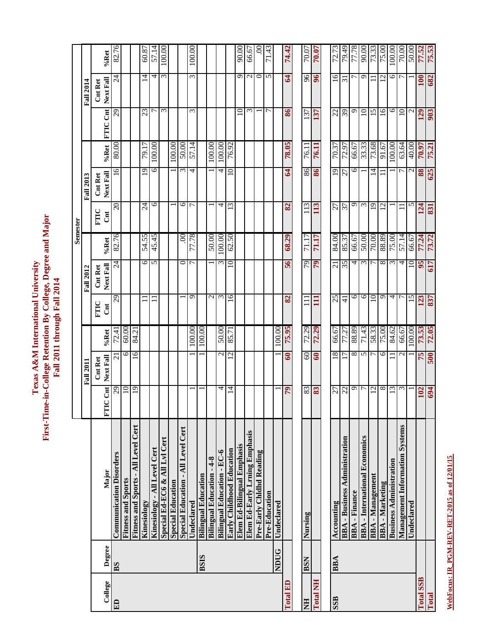First-Time-in-College Retention By College, Degree and Major<br>Fall 2011 through Fall 2014 **First-Time-in-College Retention By College, Degree and Major Texas A&M** International University **Texas A&M International University Fall 2011 through Fall 2014**

| %Ret<br>96<br>16<br>ξ<br>ω<br>ഗ<br>0<br>5<br>96<br>ە<br>0<br>$\overline{24}$<br>4<br>4<br>$\mathbf{C}$<br>$\mathbf{A}$<br>$\overline{12}$<br>$\overline{31}$<br>$\frac{100}{2}$<br>Next Fall<br><b>Fall 2014</b><br><b>Cnt Ret</b><br>FTIC Cnt<br>86<br>16<br>७<br>3<br>ς<br>$\supseteq$<br>$\epsilon$<br>$\frac{22}{2}$<br>39<br>ဓ<br>$\overline{10}$<br>15<br>$\mathbf{\sim}$<br>$\mathcal{S}^2$<br>23<br>5<br>137<br>137<br>$\Xi$<br>129<br>r<br>57.14<br>78.05<br>70.37<br>33.33<br>73.68<br>63.64<br>79.17<br>100.00<br>100.00<br>100.00<br>76.92<br>72.97<br>66.67<br>80.00<br>100.00<br>50.00<br>91.67<br>100.00<br>40.00<br>70.97<br>76.11<br>76.11<br>%Ret<br>$\overline{19}$<br>86<br>6<br>16<br>6<br>86<br>19<br>$\epsilon$<br>10<br>64<br>14<br>88<br>4<br>4<br>27<br>N<br>Next Fall<br><b>Cnt Ret</b><br><b>Fall 2013</b><br>$\circ$<br>$\overline{19}$<br>20<br>७<br>113<br>O<br>$\epsilon$<br>5<br>r<br>4<br>$\epsilon$<br>113<br>27<br>57<br>12<br>$\overline{24}$<br>82<br>124<br>FTIC<br>$\overline{5}$<br>Semester<br>82.76<br>71.17<br>84.00<br>54.55<br>45.45<br>77.78<br>100.00<br>62.50<br>71.17<br>85.37<br>50.00<br>70.00<br>88.89<br>57.14<br>$\infty$<br>50.00<br>68.29<br>66.67<br>75.00<br>66.67<br>77.24<br>%Ret<br>79<br>35<br>$\circ$<br>0<br>56<br>79<br>21<br>4<br>$\epsilon$<br>$\infty$<br>$\overline{24}$<br>5<br>$\sim$<br>$\overline{a}$<br>7<br>$\epsilon$<br>4<br>$\supseteq$<br>95<br>ᡕ<br>Next Fall<br><b>Cnt Ret</b><br><b>Fall 2012</b><br>25<br>6<br>$\circ$<br>$\circ$<br>29<br>ഗ<br>$\mathbf 2$<br>$\sim$<br>16<br>$\overline{10}$<br>4<br>15<br>r<br>82<br>123<br>$\frac{1}{4}$<br>$\Xi$<br>Ξ<br>FTIC<br>J<br>100.00<br>66.67<br>71.43<br>58.33<br>100.00<br>100.00<br>50.00<br>75.95<br>72.29<br>72.29<br>77.27<br>88.89<br>75.00<br>84.62<br>73.53<br>100.00<br>60.00<br>66.67<br>84.21<br>85.71<br>72.41<br>%Ret<br>60<br>18<br>${}^{\circ}$<br>$\circ$<br>0<br>16<br>$\mathbf{c}$<br>60<br>60<br>5<br>$\mathbf 2$<br>$\mathrel{\sim}$<br>75<br>ᡕ<br>Next Fall<br>$\mathcal{L}$<br>Cnt Ret<br><b>Fall 2011</b><br>$\infty$<br>$\text{Cat}$<br>19<br>79<br>83<br>83<br>٩<br>$\epsilon$<br>$\overline{6}$<br>$\Xi$<br>4<br>27<br>22<br>7<br>12<br>$\omega$<br>102<br>₫<br>ں<br>E<br>Fitness and Sports - All Level Cert<br><b>Management Information Systems</b><br>Special Education - All Level Cert<br>Elem Ed-Early Lrning Emphasis<br><b>BBA</b> - International Economics<br><b>BBA</b> - Business Administration<br>Special Ed-EC6 & All Lvl Cert<br>Elem Ed-Bilingual Emphasis<br>Kinesiology - All Level Cert<br>Early Childhood Education<br><b>Bilingual Education - EC-6</b><br>Pre-Early Chidhd Reading<br><b>Communication Disorders</b><br><b>Bilingual Education - 4-8</b><br><b>Business Administration</b><br>Major<br><b>Bilingual Education</b><br><b>BBA</b> - Management<br><b>Fitness and Sports</b><br><b>Special Education</b><br><b>BBA-Marketing</b><br><b>BBA-Finance</b><br>Pre-Education<br>Undeclared<br>Kinesiology<br>Undeclared<br>Accounting<br>Undeclared |  |         |                |  |       |       |        |  |        |             |  |       |       |   |       |             |          |            |          |            |       |       |       |       |       |        |       |       |                  |
|-------------------------------------------------------------------------------------------------------------------------------------------------------------------------------------------------------------------------------------------------------------------------------------------------------------------------------------------------------------------------------------------------------------------------------------------------------------------------------------------------------------------------------------------------------------------------------------------------------------------------------------------------------------------------------------------------------------------------------------------------------------------------------------------------------------------------------------------------------------------------------------------------------------------------------------------------------------------------------------------------------------------------------------------------------------------------------------------------------------------------------------------------------------------------------------------------------------------------------------------------------------------------------------------------------------------------------------------------------------------------------------------------------------------------------------------------------------------------------------------------------------------------------------------------------------------------------------------------------------------------------------------------------------------------------------------------------------------------------------------------------------------------------------------------------------------------------------------------------------------------------------------------------------------------------------------------------------------------------------------------------------------------------------------------------------------------------------------------------------------------------------------------------------------------------------------------------------------------------------------------------------------------------------------------------------------------------------------------------------------------------------------------------------------------------------------------------------------------------------------------------------------------------------------------------------------------------------------------------------------------------------------------------------------------------------------------------------------------------------------------------------------------------------------------------------------------------------------------------------------------------------------------------------------------------------------------------------------------------------------------------------------------------------------------|--|---------|----------------|--|-------|-------|--------|--|--------|-------------|--|-------|-------|---|-------|-------------|----------|------------|----------|------------|-------|-------|-------|-------|-------|--------|-------|-------|------------------|
|                                                                                                                                                                                                                                                                                                                                                                                                                                                                                                                                                                                                                                                                                                                                                                                                                                                                                                                                                                                                                                                                                                                                                                                                                                                                                                                                                                                                                                                                                                                                                                                                                                                                                                                                                                                                                                                                                                                                                                                                                                                                                                                                                                                                                                                                                                                                                                                                                                                                                                                                                                                                                                                                                                                                                                                                                                                                                                                                                                                                                                                 |  |         | 82.76          |  | 60.87 | 57.14 | 100.00 |  | 100.00 |             |  | 90.00 | 66.67 | 8 | 71.43 |             | 74.42    | 70.07      | 70.07    | 72.73      | 79.49 | 77.78 | 90.00 | 73.33 | 75.00 | 100.00 | 70.00 | 50.00 | 77.52            |
|                                                                                                                                                                                                                                                                                                                                                                                                                                                                                                                                                                                                                                                                                                                                                                                                                                                                                                                                                                                                                                                                                                                                                                                                                                                                                                                                                                                                                                                                                                                                                                                                                                                                                                                                                                                                                                                                                                                                                                                                                                                                                                                                                                                                                                                                                                                                                                                                                                                                                                                                                                                                                                                                                                                                                                                                                                                                                                                                                                                                                                                 |  |         |                |  |       |       |        |  |        |             |  |       |       |   |       |             |          |            |          |            |       |       |       |       |       |        |       |       |                  |
|                                                                                                                                                                                                                                                                                                                                                                                                                                                                                                                                                                                                                                                                                                                                                                                                                                                                                                                                                                                                                                                                                                                                                                                                                                                                                                                                                                                                                                                                                                                                                                                                                                                                                                                                                                                                                                                                                                                                                                                                                                                                                                                                                                                                                                                                                                                                                                                                                                                                                                                                                                                                                                                                                                                                                                                                                                                                                                                                                                                                                                                 |  |         |                |  |       |       |        |  |        |             |  |       |       |   |       |             |          |            |          |            |       |       |       |       |       |        |       |       |                  |
|                                                                                                                                                                                                                                                                                                                                                                                                                                                                                                                                                                                                                                                                                                                                                                                                                                                                                                                                                                                                                                                                                                                                                                                                                                                                                                                                                                                                                                                                                                                                                                                                                                                                                                                                                                                                                                                                                                                                                                                                                                                                                                                                                                                                                                                                                                                                                                                                                                                                                                                                                                                                                                                                                                                                                                                                                                                                                                                                                                                                                                                 |  |         |                |  |       |       |        |  |        |             |  |       |       |   |       |             |          |            |          |            |       |       |       |       |       |        |       |       |                  |
|                                                                                                                                                                                                                                                                                                                                                                                                                                                                                                                                                                                                                                                                                                                                                                                                                                                                                                                                                                                                                                                                                                                                                                                                                                                                                                                                                                                                                                                                                                                                                                                                                                                                                                                                                                                                                                                                                                                                                                                                                                                                                                                                                                                                                                                                                                                                                                                                                                                                                                                                                                                                                                                                                                                                                                                                                                                                                                                                                                                                                                                 |  |         |                |  |       |       |        |  |        |             |  |       |       |   |       |             |          |            |          |            |       |       |       |       |       |        |       |       |                  |
|                                                                                                                                                                                                                                                                                                                                                                                                                                                                                                                                                                                                                                                                                                                                                                                                                                                                                                                                                                                                                                                                                                                                                                                                                                                                                                                                                                                                                                                                                                                                                                                                                                                                                                                                                                                                                                                                                                                                                                                                                                                                                                                                                                                                                                                                                                                                                                                                                                                                                                                                                                                                                                                                                                                                                                                                                                                                                                                                                                                                                                                 |  |         |                |  |       |       |        |  |        |             |  |       |       |   |       |             |          |            |          |            |       |       |       |       |       |        |       |       |                  |
|                                                                                                                                                                                                                                                                                                                                                                                                                                                                                                                                                                                                                                                                                                                                                                                                                                                                                                                                                                                                                                                                                                                                                                                                                                                                                                                                                                                                                                                                                                                                                                                                                                                                                                                                                                                                                                                                                                                                                                                                                                                                                                                                                                                                                                                                                                                                                                                                                                                                                                                                                                                                                                                                                                                                                                                                                                                                                                                                                                                                                                                 |  |         |                |  |       |       |        |  |        |             |  |       |       |   |       |             |          |            |          |            |       |       |       |       |       |        |       |       |                  |
|                                                                                                                                                                                                                                                                                                                                                                                                                                                                                                                                                                                                                                                                                                                                                                                                                                                                                                                                                                                                                                                                                                                                                                                                                                                                                                                                                                                                                                                                                                                                                                                                                                                                                                                                                                                                                                                                                                                                                                                                                                                                                                                                                                                                                                                                                                                                                                                                                                                                                                                                                                                                                                                                                                                                                                                                                                                                                                                                                                                                                                                 |  |         |                |  |       |       |        |  |        |             |  |       |       |   |       |             |          |            |          |            |       |       |       |       |       |        |       |       |                  |
|                                                                                                                                                                                                                                                                                                                                                                                                                                                                                                                                                                                                                                                                                                                                                                                                                                                                                                                                                                                                                                                                                                                                                                                                                                                                                                                                                                                                                                                                                                                                                                                                                                                                                                                                                                                                                                                                                                                                                                                                                                                                                                                                                                                                                                                                                                                                                                                                                                                                                                                                                                                                                                                                                                                                                                                                                                                                                                                                                                                                                                                 |  |         |                |  |       |       |        |  |        |             |  |       |       |   |       |             |          |            |          |            |       |       |       |       |       |        |       |       |                  |
|                                                                                                                                                                                                                                                                                                                                                                                                                                                                                                                                                                                                                                                                                                                                                                                                                                                                                                                                                                                                                                                                                                                                                                                                                                                                                                                                                                                                                                                                                                                                                                                                                                                                                                                                                                                                                                                                                                                                                                                                                                                                                                                                                                                                                                                                                                                                                                                                                                                                                                                                                                                                                                                                                                                                                                                                                                                                                                                                                                                                                                                 |  |         |                |  |       |       |        |  |        |             |  |       |       |   |       |             |          |            |          |            |       |       |       |       |       |        |       |       |                  |
|                                                                                                                                                                                                                                                                                                                                                                                                                                                                                                                                                                                                                                                                                                                                                                                                                                                                                                                                                                                                                                                                                                                                                                                                                                                                                                                                                                                                                                                                                                                                                                                                                                                                                                                                                                                                                                                                                                                                                                                                                                                                                                                                                                                                                                                                                                                                                                                                                                                                                                                                                                                                                                                                                                                                                                                                                                                                                                                                                                                                                                                 |  |         |                |  |       |       |        |  |        |             |  |       |       |   |       |             |          |            |          |            |       |       |       |       |       |        |       |       |                  |
|                                                                                                                                                                                                                                                                                                                                                                                                                                                                                                                                                                                                                                                                                                                                                                                                                                                                                                                                                                                                                                                                                                                                                                                                                                                                                                                                                                                                                                                                                                                                                                                                                                                                                                                                                                                                                                                                                                                                                                                                                                                                                                                                                                                                                                                                                                                                                                                                                                                                                                                                                                                                                                                                                                                                                                                                                                                                                                                                                                                                                                                 |  |         |                |  |       |       |        |  |        |             |  |       |       |   |       |             |          |            |          |            |       |       |       |       |       |        |       |       |                  |
|                                                                                                                                                                                                                                                                                                                                                                                                                                                                                                                                                                                                                                                                                                                                                                                                                                                                                                                                                                                                                                                                                                                                                                                                                                                                                                                                                                                                                                                                                                                                                                                                                                                                                                                                                                                                                                                                                                                                                                                                                                                                                                                                                                                                                                                                                                                                                                                                                                                                                                                                                                                                                                                                                                                                                                                                                                                                                                                                                                                                                                                 |  |         |                |  |       |       |        |  |        |             |  |       |       |   |       |             |          |            |          |            |       |       |       |       |       |        |       |       |                  |
|                                                                                                                                                                                                                                                                                                                                                                                                                                                                                                                                                                                                                                                                                                                                                                                                                                                                                                                                                                                                                                                                                                                                                                                                                                                                                                                                                                                                                                                                                                                                                                                                                                                                                                                                                                                                                                                                                                                                                                                                                                                                                                                                                                                                                                                                                                                                                                                                                                                                                                                                                                                                                                                                                                                                                                                                                                                                                                                                                                                                                                                 |  |         | B <sub>S</sub> |  |       |       |        |  |        | <b>BSIS</b> |  |       |       |   |       | <b>NDUG</b> |          | <b>BSN</b> |          | <b>BBA</b> |       |       |       |       |       |        |       |       |                  |
| Degree                                                                                                                                                                                                                                                                                                                                                                                                                                                                                                                                                                                                                                                                                                                                                                                                                                                                                                                                                                                                                                                                                                                                                                                                                                                                                                                                                                                                                                                                                                                                                                                                                                                                                                                                                                                                                                                                                                                                                                                                                                                                                                                                                                                                                                                                                                                                                                                                                                                                                                                                                                                                                                                                                                                                                                                                                                                                                                                                                                                                                                          |  | College | ED             |  |       |       |        |  |        |             |  |       |       |   |       |             | Total ED | E          | Total NH | SSB        |       |       |       |       |       |        |       |       | <b>Total SSB</b> |

WebFocus: IR\_PGM-REV-RET-2015 as of 12/01/15 **WebFocus: IR\_PGM-REV-RET-2015 as of 12/01/15**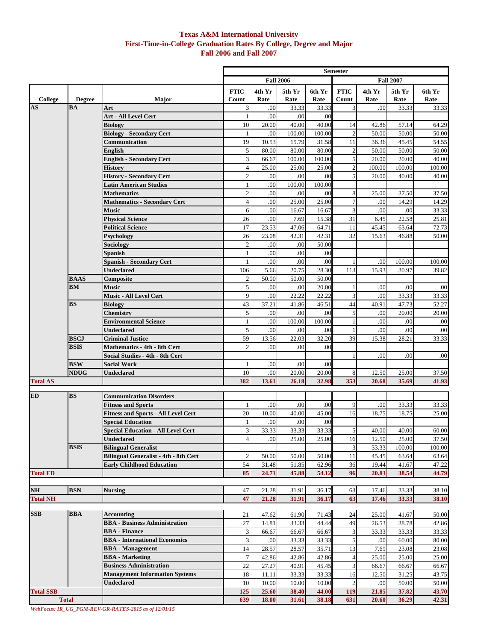#### **Texas A&M International University First-Time-in-College Graduation Rates By College, Degree and Major Fall 2006 and Fall 2007**

|                        |                          |                                                                      |                         |                |                  |                | <b>Semester</b>      |                |                  |                |
|------------------------|--------------------------|----------------------------------------------------------------------|-------------------------|----------------|------------------|----------------|----------------------|----------------|------------------|----------------|
|                        |                          |                                                                      |                         |                | <b>Fall 2006</b> |                |                      |                | <b>Fall 2007</b> |                |
| College                | <b>Degree</b>            | Major                                                                | <b>FTIC</b><br>Count    | 4th Yr<br>Rate | 5th Yr<br>Rate   | 6th Yr<br>Rate | <b>FTIC</b><br>Count | 4th Yr<br>Rate | 5th Yr<br>Rate   | 6th Yr<br>Rate |
| $\mathbf{A}\mathbf{S}$ | <b>BA</b>                | Art                                                                  | 3                       | .00            | 33.33            | 33.33          | 3                    | .00            | 33.33            | 33.33          |
|                        |                          | Art - All Level Cert                                                 | 1                       | .00            | .00              | .00            |                      |                |                  |                |
|                        |                          | <b>Biology</b>                                                       | 10                      | 20.00          | 40.00            | 40.00          | 14                   | 42.86          | 57.14            | 64.29          |
|                        |                          | <b>Biology - Secondary Cert</b>                                      | $\mathbf{1}$            | .00            | 100.00           | 100.00         | $\overline{2}$       | 50.00          | 50.00            | 50.00          |
|                        |                          | Communication                                                        | 19                      | 10.53          | 15.79            | 31.58          | 11                   | 36.36          | 45.45            | 54.55          |
|                        |                          | <b>English</b>                                                       | 5                       | 80.00          | 80.00            | 80.00          | $\overline{c}$       | 50.00          | 50.00            | 50.00          |
|                        |                          | <b>English - Secondary Cert</b>                                      | 3                       | 66.67          | 100.00           | 100.00         | 5                    | 20.00          | 20.00            | 40.00          |
|                        |                          | <b>History</b>                                                       | $\overline{4}$          | 25.00          | 25.00            | 25.00          | $\sqrt{2}$           | 100.00         | 100.00           | 100.00         |
|                        |                          | <b>History - Secondary Cert</b>                                      | $\overline{c}$          | .00            | .00              | .00            | 5                    | 20.00          | 40.00            | 40.00          |
|                        |                          | <b>Latin American Studies</b>                                        | 1                       | .00            | 100.00           | 100.00         |                      |                |                  |                |
|                        |                          | <b>Mathematics</b>                                                   | $\overline{2}$          | .00            | .00              | .00            | 8                    | 25.00          | 37.50            | 37.50          |
|                        |                          | <b>Mathematics - Secondary Cert</b>                                  | $\overline{4}$          | .00            | 25.00            | 25.00          | 7                    | .00            | 14.29            | 14.29          |
|                        |                          | <b>Music</b>                                                         | 6                       | .00            | 16.67            | 16.67          | 3                    | .00            | .00              | 33.33          |
|                        |                          | <b>Physical Science</b>                                              | 26                      | .00            | 7.69             | 15.38          | 31                   | 6.45           | 22.58            | 25.81          |
|                        |                          | <b>Political Science</b>                                             | 17                      | 23.53          | 47.06            | 64.71          | 11                   | 45.45          | 63.64            | 72.73          |
|                        |                          | <b>Psychology</b>                                                    | 26                      | 23.08          | 42.31            | 42.31          | 32                   | 15.63          | 46.88            | 50.00          |
|                        |                          | Sociology                                                            | $\overline{\mathbf{c}}$ | $.00\,$        | .00              | 50.00          |                      |                |                  |                |
|                        |                          | Spanish                                                              | 1                       | .00            | .00              | .00            |                      |                |                  |                |
|                        |                          | <b>Spanish - Secondary Cert</b>                                      | 1                       | .00            | .00              | .00            |                      | .00            | 100.00           | 100.00         |
|                        |                          | <b>Undeclared</b>                                                    | 106                     | 5.66           | 20.75            | 28.30          | 113                  | 15.93          | 30.97            | 39.82          |
|                        | <b>BAAS</b><br><b>BM</b> | Composite<br><b>Music</b>                                            | $\overline{c}$          | 50.00          | 50.00            | 50.00          |                      |                |                  |                |
|                        |                          | Music - All Level Cert                                               | 5<br>9                  | .00<br>.00     | .00<br>22.22     | 20.00<br>22.22 | 3                    | .00<br>.00     | .00<br>33.33     | .00            |
|                        | <b>BS</b>                | <b>Biology</b>                                                       | 43                      | 37.21          | 41.86            | 46.51          | 44                   | 40.91          | 47.73            | 33.33<br>52.27 |
|                        |                          | Chemistry                                                            | 5                       | .00            | .00              | .00            | 5                    | .00            | 20.00            | 20.00          |
|                        |                          | <b>Environmental Science</b>                                         | $\mathbf{1}$            | .00            | 100.00           | 100.00         |                      | .00            | .00              | .00            |
|                        |                          | <b>Undeclared</b>                                                    | 5                       | .00            | .00              | .00            |                      | .00            | .00              | .00            |
|                        | <b>BSCJ</b>              | <b>Criminal Justice</b>                                              | 59                      | 13.56          | 22.03            | 32.20          | 39                   | 15.38          | 28.21            | 33.33          |
|                        | <b>BSIS</b>              | <b>Mathematics - 4th - 8th Cert</b>                                  | $\overline{c}$          | .00            | .00              | .00            |                      |                |                  |                |
|                        |                          | Social Studies - 4th - 8th Cert                                      |                         |                |                  |                | 1                    | .00            | .00              | .00            |
|                        | <b>BSW</b>               | <b>Social Work</b>                                                   | 1                       | .00            | .00              | .00            |                      |                |                  |                |
|                        | <b>NDUG</b>              | Undeclared                                                           | 10                      | .00            | 20.00            | 20.00          | 8                    | 12.50          | 25.00            | 37.50          |
| <b>Total AS</b>        |                          |                                                                      | 382                     | 13.61          | 26.18            | 32.98          | 353                  | 20.68          | 35.69            | 41.93          |
|                        |                          |                                                                      |                         |                |                  |                |                      |                |                  |                |
| ED                     | <b>BS</b>                | <b>Communication Disorders</b>                                       |                         |                |                  |                |                      |                |                  |                |
|                        |                          | <b>Fitness and Sports</b>                                            | 1                       | .00            | .00              | .00            | 9                    | .00            | 33.33            | 33.33          |
|                        |                          | <b>Fitness and Sports - All Level Cert</b>                           | 20                      | 10.00          | 40.00            | 45.00          | 16                   | 18.75          | 18.75            | 25.00          |
|                        |                          | <b>Special Education</b>                                             | 1                       | .00            | .00              | .00            |                      |                |                  |                |
|                        |                          | <b>Special Education - All Level Cert</b>                            | 3                       | 33.33          | 33.33            | 33.33          | $\sqrt{5}$           | 40.00          | 40.00            | 60.00          |
|                        | <b>BSIS</b>              | <b>Undeclared</b>                                                    | $\overline{4}$          | .00            | 25.00            | 25.00          | 16                   | 12.50          | 25.00            | 37.50          |
|                        |                          | <b>Bilingual Generalist</b><br>Bilingual Generalist - 4th - 8th Cert | $\overline{c}$          | 50.00          | 50.00            | 50.00          | 3<br>11              | 33.33<br>45.45 | 100.00<br>63.64  | 100.00         |
|                        |                          | <b>Early Childhood Education</b>                                     | 54                      | 31.48          | 51.85            | 62.96          | 36                   | 19.44          | 41.67            | 63.64<br>47.22 |
| <b>Total ED</b>        |                          |                                                                      | 85                      | 24.71          | 45.88            | 54.12          | 96                   | 20.83          | 38.54            | 44.79          |
|                        |                          |                                                                      |                         |                |                  |                |                      |                |                  |                |
| NH                     | <b>BSN</b>               | <b>Nursing</b>                                                       | 47                      | 21.28          | 31.91            | 36.17          | 63                   | 17.46          | 33.33            | 38.10          |
| <b>Total NH</b>        |                          |                                                                      | 47                      | 21.28          | 31.91            | 36.17          | 63                   | 17.46          | 33.33            | 38.10          |
|                        |                          |                                                                      |                         |                |                  |                |                      |                |                  |                |
| <b>SSB</b>             | <b>BBA</b>               | <b>Accounting</b>                                                    | 21                      | 47.62          | 61.90            | 71.43          | 24                   | 25.00          | 41.67            | 50.00          |
|                        |                          | <b>BBA</b> - Business Administration                                 | 27                      | 14.81          | 33.33            | 44.44          | 49                   | 26.53          | 38.78            | 42.86          |
|                        |                          | <b>BBA</b> - Finance                                                 | 3                       | 66.67          | 66.67            | 66.67          | 3                    | 33.33          | 33.33            | 33.33          |
|                        |                          | <b>BBA</b> - International Economics                                 | 3                       | $.00\,$        | 33.33            | 33.33          | 5                    | .00            | 60.00            | 80.00          |
|                        |                          | <b>BBA</b> - Management                                              | 14                      | 28.57          | 28.57            | 35.71          | 13                   | 7.69           | 23.08            | 23.08          |
|                        |                          | <b>BBA</b> - Marketing                                               | $\overline{7}$          | 42.86          | 42.86            | 42.86          | $\overline{4}$       | 25.00          | 25.00            | 25.00          |
|                        |                          | <b>Business Administration</b>                                       | 22                      | 27.27          | 40.91            | 45.45          | 3                    | 66.67          | 66.67            | 66.67          |
|                        |                          | <b>Management Information Systems</b>                                | 18                      | 11.11          | 33.33            | 33.33          | 16                   | 12.50          | 31.25            | 43.75          |
|                        |                          | <b>Undeclared</b>                                                    | 10                      | 10.00          | 10.00            | 10.00          | 2                    | .00            | 50.00            | 50.00          |
| <b>Total SSB</b>       |                          |                                                                      | 125                     | 25.60          | 38.40            | 44.00          | 119                  | 21.85          | 37.82            | 43.70          |
|                        | <b>Total</b>             |                                                                      | 639                     | 18.00          | 31.61            | 38.18          | 631                  | 20.60          | 36.29            | 42.31          |

*WebFocus: IR\_UG\_PGM-REV-GR-RATES-2015 as of 12/01/15*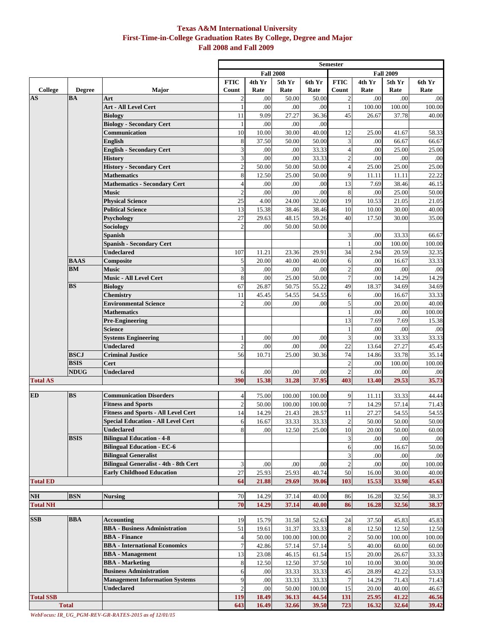## **Texas A&M International University First-Time-in-College Graduation Rates By College, Degree and Major Fall 2008 and Fall 2009**

|                  |                          |                                                                  | <b>Semester</b>                      |                |                |                |                      |                |                |                 |
|------------------|--------------------------|------------------------------------------------------------------|--------------------------------------|----------------|----------------|----------------|----------------------|----------------|----------------|-----------------|
|                  |                          |                                                                  | <b>Fall 2009</b><br><b>Fall 2008</b> |                |                |                |                      |                |                |                 |
| College          | <b>Degree</b>            | <b>Major</b>                                                     | <b>FTIC</b><br>Count                 | 4th Yr<br>Rate | 5th Yr<br>Rate | 6th Yr<br>Rate | <b>FTIC</b><br>Count | 4th Yr<br>Rate | 5th Yr<br>Rate | 6th Yr<br>Rate  |
| <b>AS</b>        | <b>BA</b>                | Art                                                              | $\overline{c}$                       | .00            | 50.00          | 50.00          | $\overline{c}$       | .00            | .00            | .00             |
|                  |                          | Art - All Level Cert                                             |                                      | .00            | .00            | .00            | $\mathbf{1}$         | 100.00         | 100.00         | 100.00          |
|                  |                          | <b>Biology</b>                                                   | 11                                   | 9.09           | 27.27          | 36.36          | 45                   | 26.67          | 37.78          | 40.00           |
|                  |                          | <b>Biology - Secondary Cert</b>                                  | $\mathbf{1}$                         | .00            | .00            | .00            |                      |                |                |                 |
|                  |                          | Communication                                                    | 10                                   | 10.00          | 30.00          | 40.00          | 12                   | 25.00          | 41.67          | 58.33           |
|                  |                          | <b>English</b>                                                   | 8                                    | 37.50          | 50.00          | 50.00          | 3                    | .00            | 66.67          | 66.67           |
|                  |                          | <b>English - Secondary Cert</b>                                  | $\overline{\mathbf{3}}$              | .00            | .00            | 33.33          | $\overline{4}$       | .00            | 25.00          | 25.00           |
|                  |                          | <b>History</b>                                                   | $\overline{\mathbf{3}}$              | .00            | .00            | 33.33          | $\overline{c}$       | .00            | .00            | .00             |
|                  |                          | <b>History - Secondary Cert</b>                                  | $\overline{2}$                       | 50.00          | 50.00          | 50.00          | $\overline{4}$       | 25.00          | 25.00          | 25.00           |
|                  |                          | <b>Mathematics</b>                                               | 8                                    | 12.50          | 25.00          | 50.00          | 9                    | 11.11          | 11.11          | 22.22           |
|                  |                          | <b>Mathematics - Secondary Cert</b>                              | $\overline{4}$                       | .00            | .00            | .00            | 13                   | 7.69           | 38.46          | 46.15           |
|                  |                          | <b>Music</b>                                                     | $\boldsymbol{2}$                     | .00            | .00            | .00            | 8                    | .00            | 25.00          | 50.00           |
|                  |                          | <b>Physical Science</b>                                          | 25                                   | 4.00           | 24.00          | 32.00          | 19                   | 10.53          | 21.05          | 21.05           |
|                  |                          | <b>Political Science</b>                                         | 13                                   | 15.38          | 38.46          | 38.46          | 10                   | 10.00          | 30.00          | 40.00           |
|                  |                          | Psychology                                                       | 27                                   | 29.63          | 48.15          | 59.26          | 40                   | 17.50          | 30.00          | 35.00           |
|                  |                          | <b>Sociology</b>                                                 | $\overline{c}$                       | .00            | 50.00          | 50.00          |                      |                |                |                 |
|                  |                          | Spanish                                                          |                                      |                |                |                | 3                    | .00            | 33.33          | 66.67           |
|                  |                          | <b>Spanish - Secondary Cert</b>                                  |                                      |                |                |                |                      | .00            | 100.00         | 100.00          |
|                  |                          | <b>Undeclared</b>                                                | 107                                  | 11.21          | 23.36          | 29.91          | 34                   | 2.94           | 20.59          | 32.35           |
|                  | <b>BAAS</b><br><b>BM</b> | Composite                                                        | 5                                    | 20.00          | 40.00          | 40.00          | 6                    | .00            | 16.67          | 33.33           |
|                  |                          | <b>Music</b><br><b>Music - All Level Cert</b>                    | $\overline{\mathbf{3}}$              | .00            | .00            | .00            | $\overline{c}$       | .00            | .00            | .00             |
|                  | <b>BS</b>                |                                                                  | 8                                    | .00            | 25.00          | 50.00          | $\overline{7}$       | .00            | 14.29          | 14.29           |
|                  |                          | <b>Biology</b><br><b>Chemistry</b>                               | 67<br>11                             | 26.87<br>45.45 | 50.75<br>54.55 | 55.22<br>54.55 | 49<br>6              | 18.37<br>.00   | 34.69<br>16.67 | 34.69<br>33.33  |
|                  |                          | <b>Environmental Science</b>                                     | $\overline{2}$                       | .00            | .00            | .00            | 5                    | .00            | 20.00          | 40.00           |
|                  |                          | <b>Mathematics</b>                                               |                                      |                |                |                | $\mathbf{1}$         | .00            | .00            | 100.00          |
|                  |                          | <b>Pre-Engineering</b>                                           |                                      |                |                |                | 13                   | 7.69           | 7.69           | 15.38           |
|                  |                          | Science                                                          |                                      |                |                |                | 1                    | .00            | .00            | .00             |
|                  |                          | <b>Systems Engineering</b>                                       | $\mathbf{1}$                         | .00            | .00            | .00            | 3                    | .00            | 33.33          | 33.33           |
|                  |                          | <b>Undeclared</b>                                                | $\overline{c}$                       | .00            | .00            | .00            | 22                   | 13.64          | 27.27          | 45.45           |
|                  | <b>BSCJ</b>              | <b>Criminal Justice</b>                                          | 56                                   | 10.71          | 25.00          | 30.36          | 74                   | 14.86          | 33.78          | 35.14           |
|                  | <b>BSIS</b>              | Cert                                                             |                                      |                |                |                | $\mathbf{2}$         | .00            | 100.00         | 100.00          |
|                  | NDUG                     | <b>Undeclared</b>                                                | 6                                    | .00            | .00            | .00            | $\mathbf{2}$         | .00            | .00            | .00             |
| <b>Total AS</b>  |                          |                                                                  | 390                                  | 15.38          | 31.28          | 37.95          | 403                  | 13.40          | 29.53          | 35.73           |
|                  |                          |                                                                  |                                      |                |                |                |                      |                |                |                 |
| <b>ED</b>        | <b>BS</b>                | <b>Communication Disorders</b>                                   | $\overline{4}$                       | 75.00          | 100.00         | 100.00         | 9                    | 11.11          | 33.33          | 44.44           |
|                  |                          | <b>Fitness and Sports</b>                                        | $\overline{c}$                       | 50.00          | 100.00         | 100.00         | $\tau$               | 14.29          | 57.14          | 71.43           |
|                  |                          | <b>Fitness and Sports - All Level Cert</b>                       | 14                                   | 14.29          | 21.43          | 28.57          | 11                   | 27.27          | 54.55          | 54.55           |
|                  |                          | <b>Special Education - All Level Cert</b>                        | $6 \overline{6}$                     | 16.67          | 33.33          | 33.33          | $\overline{2}$       | 50.00          | 50.00          | 50.00           |
|                  |                          | <b>Undeclared</b>                                                | 8                                    | .00            | 12.50          | 25.00          | 10                   | 20.00          | 50.00          | 60.00           |
|                  | <b>BSIS</b>              | <b>Bilingual Education - 4-8</b>                                 |                                      |                |                |                | 3                    | .00            | .00            | .00             |
|                  |                          | <b>Bilingual Education - EC-6</b><br><b>Bilingual Generalist</b> |                                      |                |                |                | 6<br>3               | .00            | 16.67          | 50.00           |
|                  |                          | <b>Bilingual Generalist - 4th - 8th Cert</b>                     | 3                                    | .00            | .00            | .00            | $\sqrt{2}$           | .00<br>.00     | .00<br>.00     | .00             |
|                  |                          | <b>Early Childhood Education</b>                                 | 27                                   | 25.93          | 25.93          | 40.74          | 50                   | 16.00          | 30.00          | 100.00<br>40.00 |
| <b>Total ED</b>  |                          |                                                                  | 64                                   | 21.88          | 29.69          | 39.06          | 103                  | 15.53          | 33.98          | 45.63           |
|                  |                          |                                                                  |                                      |                |                |                |                      |                |                |                 |
| NH               | <b>BSN</b>               | <b>Nursing</b>                                                   | 70                                   | 14.29          | 37.14          | 40.00          | 86                   | 16.28          | 32.56          | 38.37           |
| <b>Total NH</b>  |                          |                                                                  | 70                                   | 14.29          | 37.14          | 40.00          | 86                   | 16.28          | 32.56          | 38.37           |
|                  |                          |                                                                  |                                      |                |                |                |                      |                |                |                 |
| <b>SSB</b>       | <b>BBA</b>               | <b>Accounting</b>                                                | 19                                   | 15.79          | 31.58          | 52.63          | 24                   | 37.50          | 45.83          | 45.83           |
|                  |                          | <b>BBA</b> - Business Administration                             | 51                                   | 19.61          | 31.37          | 33.33          | 8                    | 12.50          | 12.50          | 12.50           |
|                  |                          | <b>BBA</b> - Finance                                             | $\overline{4}$                       | 50.00          | 100.00         | 100.00         | $\sqrt{2}$           | 50.00          | 100.00         | 100.00          |
|                  |                          | <b>BBA</b> - International Economics                             | $\overline{7}$                       | 42.86          | 57.14          | 57.14          | 5                    | 40.00          | 60.00          | 60.00           |
|                  |                          | <b>BBA</b> - Management                                          | 13                                   | 23.08          | 46.15          | 61.54          | 15                   | 20.00          | 26.67          | 33.33           |
|                  |                          | <b>BBA</b> - Marketing                                           | $\bf 8$                              | 12.50          | 12.50          | 37.50          | 10                   | 10.00          | 30.00          | 30.00           |
|                  |                          | <b>Business Administration</b>                                   | 6                                    | .00            | 33.33          | 33.33          | 45                   | 28.89          | 42.22          | 53.33           |
|                  |                          | <b>Management Information Systems</b>                            | 9                                    | .00            | 33.33          | 33.33          | $\boldsymbol{7}$     | 14.29          | 71.43          | 71.43           |
|                  |                          | <b>Undeclared</b>                                                | $\overline{c}$                       | .00            | 50.00          | 100.00         | 15                   | 20.00          | 40.00          | 46.67           |
| <b>Total SSB</b> |                          |                                                                  | 119                                  | 18.49          | 36.13          | 44.54          | 131                  | 25.95          | 41.22          | 46.56           |
|                  | <b>Total</b>             |                                                                  | 643                                  | 16.49          | 32.66          | 39.50          | 723                  | 16.32          | 32.64          | 39.42           |

*WebFocus: IR\_UG\_PGM-REV-GR-RATES-2015 as of 12/01/15*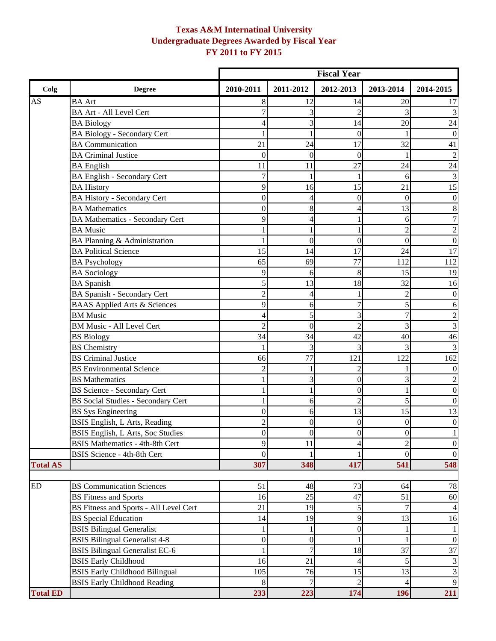# **Texas A&M Internatinal University Undergraduate Degrees Awarded by Fiscal Year FY 2011 to FY 2015**

|                 |                                           | <b>Fiscal Year</b> |                  |                  |                  |                                  |
|-----------------|-------------------------------------------|--------------------|------------------|------------------|------------------|----------------------------------|
| Colg            | <b>Degree</b>                             | 2010-2011          | 2011-2012        | 2012-2013        | 2013-2014        | 2014-2015                        |
| <b>AS</b>       | <b>BA</b> Art                             | 8                  | 12               | 14               | 20               | 17                               |
|                 | <b>BA Art - All Level Cert</b>            |                    | 3                | $\overline{2}$   |                  | 3                                |
|                 | <b>BA Biology</b>                         |                    | 3                | 14               | 20               | 24                               |
|                 | <b>BA Biology - Secondary Cert</b>        |                    |                  | $\overline{0}$   |                  | $\boldsymbol{0}$                 |
|                 | <b>BA</b> Communication                   | 21                 | 24               | 17               | 32               | 41                               |
|                 | <b>BA Criminal Justice</b>                | $\mathbf{0}$       | $\mathbf{0}$     | $\overline{0}$   |                  | $\overline{c}$                   |
|                 | <b>BA</b> English                         | 11                 | 11               | 27               | 24               | 24                               |
|                 | <b>BA English - Secondary Cert</b>        |                    |                  | 1                | 6                | $\mathfrak{Z}$                   |
|                 | <b>BA History</b>                         | 9                  | 16               | 15               | 21               | 15                               |
|                 | <b>BA History - Secondary Cert</b>        | $\overline{0}$     | $\overline{4}$   | $\overline{0}$   | $\theta$         | $\mathbf{0}$                     |
|                 | <b>BA</b> Mathematics                     | $\overline{0}$     | 8                | 4                | 13               | $\,8\,$                          |
|                 | <b>BA Mathematics - Secondary Cert</b>    | 9                  |                  |                  | 6                | $\overline{7}$                   |
|                 | <b>BA</b> Music                           |                    |                  | 1                | $\overline{c}$   | $\overline{c}$                   |
|                 | BA Planning & Administration              |                    | $\theta$         | $\overline{0}$   | $\theta$         | $\mathbf{0}$                     |
|                 | <b>BA Political Science</b>               | 15                 | 14               | 17               | 24               | $\overline{17}$                  |
|                 | <b>BA Psychology</b>                      | 65                 | 69               | 77               | 112              | 112                              |
|                 | <b>BA</b> Sociology                       | 9                  | 6                | 8                | 15               | 19                               |
|                 | <b>BA</b> Spanish                         | 5                  | 13               | 18               | 32               | 16                               |
|                 | BA Spanish - Secondary Cert               | 2                  | 4                |                  | 2                | $\boldsymbol{0}$                 |
|                 | <b>BAAS</b> Applied Arts & Sciences       | 9                  | 6                | $\overline{7}$   | 5                | 6                                |
|                 | <b>BM</b> Music                           | 4                  | 5                | 3                | $\overline{7}$   | $\overline{c}$                   |
|                 | <b>BM Music - All Level Cert</b>          | $\overline{c}$     | $\boldsymbol{0}$ | $\overline{2}$   | 3                | 3                                |
|                 | <b>BS</b> Biology                         | 34                 | 34               | 42               | 40               | 46                               |
|                 | <b>BS</b> Chemistry                       |                    | 3                | 3                |                  | $\mathfrak{Z}$                   |
|                 | <b>BS</b> Criminal Justice                | 66                 | 77               | 121              | 122              | 162                              |
|                 | <b>BS</b> Environmental Science           | 2                  |                  | $\overline{2}$   |                  | $\mathbf{0}$                     |
|                 | <b>BS</b> Mathematics                     |                    | 3                | $\overline{0}$   | 3                |                                  |
|                 | <b>BS Science - Secondary Cert</b>        |                    |                  | $\overline{0}$   |                  | $\boldsymbol{0}$                 |
|                 | <b>BS Social Studies - Secondary Cert</b> |                    | 6                | $\overline{c}$   | 5                | $\mathbf{0}$                     |
|                 | <b>BS</b> Sys Engineering                 | $\overline{0}$     | 6                | 13               | 15               | 13                               |
|                 | BSIS English, L Arts, Reading             | 2                  | $\boldsymbol{0}$ | $\boldsymbol{0}$ | $\overline{0}$   | $\boldsymbol{0}$                 |
|                 | BSIS English, L Arts, Soc Studies         | $\boldsymbol{0}$   | $\boldsymbol{0}$ | $\boldsymbol{0}$ | $\boldsymbol{0}$ | $\,1$                            |
|                 | <b>BSIS Mathematics - 4th-8th Cert</b>    | 9                  | 11               | 4                | $\mathfrak{D}$   | $\overline{0}$                   |
|                 | <b>BSIS Science - 4th-8th Cert</b>        | $\theta$           |                  |                  | $\mathbf{0}$     | $\overline{0}$                   |
| <b>Total AS</b> |                                           | 307                | 348              | 417              | 541              | 548                              |
| <b>ED</b>       | <b>BS</b> Communication Sciences          | 51                 | 48               | 73               | 64               | 78                               |
|                 | <b>BS Fitness and Sports</b>              | 16                 | 25               | 47               | 51               | 60                               |
|                 | BS Fitness and Sports - All Level Cert    | 21                 | 19               | 5                | 7                | $\overline{4}$                   |
|                 | <b>BS</b> Special Education               | 14                 | 19               | 9                | 13               | 16                               |
|                 | <b>BSIS Bilingual Generalist</b>          |                    |                  | $\boldsymbol{0}$ |                  | 1                                |
|                 | <b>BSIS Bilingual Generalist 4-8</b>      | $\boldsymbol{0}$   | $\overline{0}$   |                  |                  | $\mathbf{0}$                     |
|                 | <b>BSIS Bilingual Generalist EC-6</b>     |                    |                  | 18               | 37               | 37                               |
|                 | <b>BSIS Early Childhood</b>               | 16                 | 21               | 4                | 5                |                                  |
|                 | <b>BSIS Early Childhood Bilingual</b>     | 105                | 76               | 15               | 13               | $\mathfrak{Z}$<br>$\overline{3}$ |
|                 | <b>BSIS Early Childhood Reading</b>       | 8                  |                  | $\overline{2}$   | 4                | 9                                |
| <b>Total ED</b> |                                           | 233                | 223              | 174              | 196              | 211                              |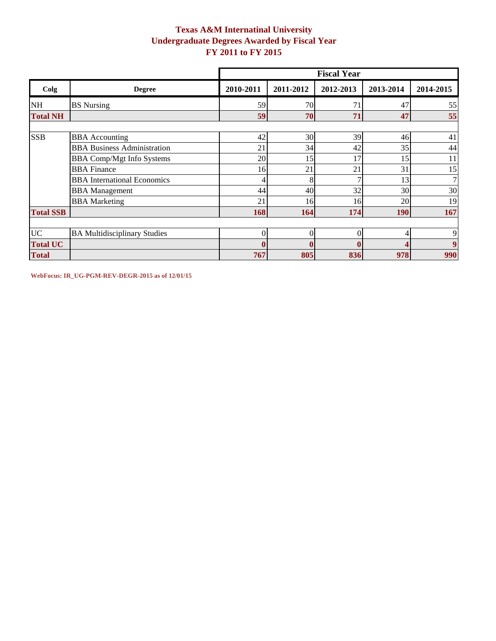## **Texas A&M Internatinal University Undergraduate Degrees Awarded by Fiscal Year FY 2011 to FY 2015**

|                  |                                     | <b>Fiscal Year</b> |           |              |            |                  |  |  |  |
|------------------|-------------------------------------|--------------------|-----------|--------------|------------|------------------|--|--|--|
| Colg             | <b>Degree</b>                       | 2010-2011          | 2011-2012 | 2012-2013    | 2013-2014  | 2014-2015        |  |  |  |
| <b>NH</b>        | <b>BS</b> Nursing                   | 59                 | 70        | 71           | 47         | 55               |  |  |  |
| <b>Total NH</b>  |                                     | 59                 | 70        | 71           | 47         | 55               |  |  |  |
|                  |                                     |                    |           |              |            |                  |  |  |  |
| <b>SSB</b>       | <b>BBA</b> Accounting               | 42                 | 30        | 39           | 46         | 41               |  |  |  |
|                  | <b>BBA Business Administration</b>  | 21                 | 34        | 42           | 35         | 44               |  |  |  |
|                  | <b>BBA Comp/Mgt Info Systems</b>    | 20                 | 15        | 17           | 15         | 11               |  |  |  |
|                  | <b>BBA</b> Finance                  | 16                 | 21        | 21           | 31         | 15               |  |  |  |
|                  | <b>BBA</b> International Economics  |                    | 8         |              | 13         | 7 <sup>1</sup>   |  |  |  |
|                  | <b>BBA</b> Management               | 44                 | 40        | 32           | 30         | 30               |  |  |  |
|                  | <b>BBA</b> Marketing                | 21                 | 16        | 16           | 20         | 19               |  |  |  |
| <b>Total SSB</b> |                                     | 168                | 164       | 174          | <b>190</b> | 167              |  |  |  |
|                  |                                     |                    |           |              |            |                  |  |  |  |
| <b>UC</b>        | <b>BA Multidisciplinary Studies</b> | $\Omega$           | $\Omega$  | $\theta$     | 4          | 9                |  |  |  |
| <b>Total UC</b>  |                                     | $\mathbf$          |           | $\mathbf{0}$ | Λ          | $\boldsymbol{9}$ |  |  |  |
| <b>Total</b>     |                                     | 767                | 805       | 836          | 978        | 990              |  |  |  |

**WebFocus: IR\_UG-PGM-REV-DEGR-2015 as of 12/01/15**